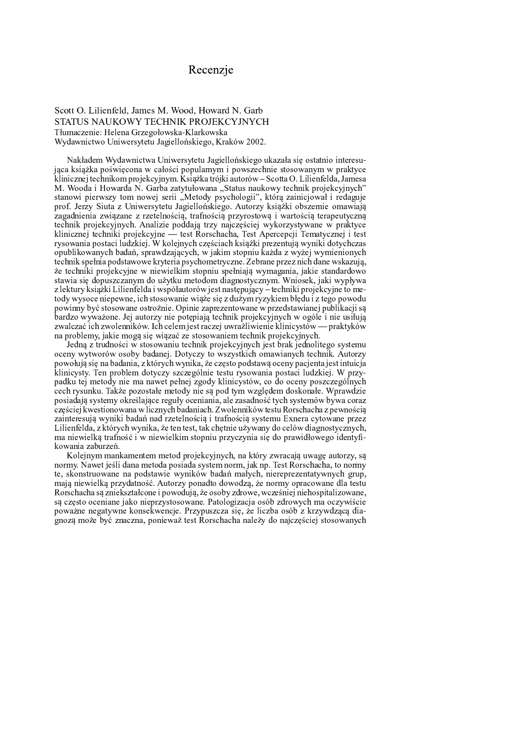# Recenzje

### Scott O. Lilienfeld, James M. Wood, Howard N. Garb STATUS NAUKOWY TECHNIK PROJEKCYJNYCH Tłumaczenie: Helena Grzegołowska-Klarkowska Wydawnictwo Uniwersytetu Jagiellońskiego, Kraków 2002.

Nakładem Wydawnictwa Uniwersytetu Jagiellońskiego ukazała się ostatnio interesująca książka poświęcona w całości popularnym i powszechnie stosowanym w praktyce klinicznej technikom projekcyjnym. Książka trójki autorów – Scotta O. Lilienfelda, Jamesa M. Wooda i Howarda N. Garba zatytułowana "Status naukowy technik projekcyjnych" stanowi pierwszy tom nowej serii "Metody psychologii", którą zainicjował i redaguje prof. Jerzy Siuta z Uniwersytetu Jagiellońskiego. Autorzy książki obszernie omawiają zagadnienia związane z rzetelnością, trafnością przyrostową i wartością terapeutyczną technik projekcyjnych. Analizie poddają trzy najczęściej wykorzystywane w praktyce klinicznej techniki projekcyjne — test Rorschacha, Test Apercepcji Tematycznej i test rysowania postaci ludzkiej. W kolejnych częściach książki prezentują wyniki dotychczas opublikowanych badań, sprawdzających, w jakim stopniu każda z wyżej wymienionych technik spełnia podstawowe kryteria psychometryczne. Zebrane przez nich dane wskazują, że techniki projekcyjne w niewielkim stopniu spełniają wymagania, jakie standardowo stawia się dopuszczanym do użytku metodom diagnostycznym. Wniosek, jaki wypływa z lektury książki Lilienfelda i współautorów jest następujący – techniki projekcyjne to metody wysoce niepewne, ich stosowanie wiąże się z dużym ryzykiem błędu i z tego powodu powinny być stosowane ostrożnie. Opinie zaprezentowane w przedstawianej publikacji sa bardzo wyważone. Jej autorzy nie potępiają technik projekcyjnych w ogóle i nie usiłują zwalczać ich zwolenników. Ich celem jest raczej uwrażliwienie klinicystów — praktyków na problemy, jakie mogą się wiązać ze stosowaniem technik projekcyjnych.

Jedna z trudności w stosowaniu technik projekcyjnych jest brak jednolitego systemu oceny wytworów osoby badanej. Dotyczy to wszystkich omawianych technik. Autorzy powołują się na badania, z których wynika, że często podstawą oceny pacjenta jest intuicja klinicysty. Ten problem dotyczy szczególnie testu rysowania postaci ludzkiej. W przypadku tej metody nie ma nawet pełnej zgody klinicystów, co do oceny poszczególnych cech rysunku. Także pozostałe metody nie są pod tym względem doskonałe. Wprawdzie posiadają systemy określające reguły oceniania, ale zasadność tych systemów bywa coraz częściej kwestionowana w licznych badaniach. Zwolenników testu Rorschacha z pewnościa zainteresuja wyniki badań nad rzetelnościa i trafnościa systemu Exnera cytowane przez Lilienfelda, z których wynika, że ten test, tak chętnie używany do celów diagnostycznych, ma niewielką trafność i w niewielkim stopniu przyczynia się do prawidłowego identyfikowania zaburzeń.

Kolejnym mankamentem metod projekcyjnych, na który zwracają uwagę autorzy, są normy. Nawet jeśli dana metoda posiada system norm, jak np. Test Rorschacha, to normy te, skonstruowane na podstawie wyników badań małych, niereprezentatywnych grup, mają niewielką przydatność. Autorzy ponadto dowodzą, że normy opracowane dla testu Rorschacha są zniekształcone i powodują, że osoby zdrowe, wcześniej niehospitalizowane, są często oceniane jako nieprzystosowane. Patologizacja osób zdrowych ma oczywiście poważne negatywne konsekwencje. Przypuszcza się, że liczba osób z krzywdzącą diagnozą może być znaczna, ponieważ test Rorschacha należy do najczęściej stosowanych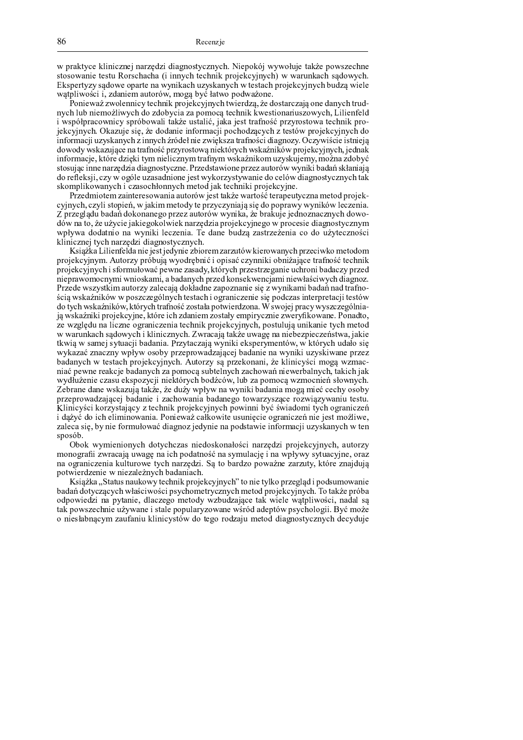j k n o po poznat je vremena na stranovanju po vremena je vremena je vremena kraja na jema vremena je vremena | <sup>o</sup> { <sup>|</sup> { <sup>j</sup> <sup>m</sup> <sup>u</sup> <sup>t</sup> <sup>r</sup> <sup>o</sup> <sup>r</sup> <sup>|</sup> <sup>o</sup> { <sup>l</sup> <sup>|</sup> <sup>q</sup> } <sup>m</sup> <sup>q</sup> } <sup>m</sup> <sup>t</sup> <sup>t</sup> <sup>u</sup> <sup>u</sup> <sup>p</sup> <sup>q</sup> } <sup>o</sup> <sup>r</sup> <sup>q</sup> } <sup>u</sup> <sup>t</sup> <sup>n</sup> <sup>k</sup> <sup>l</sup> { <sup>w</sup> <sup>r</sup> <sup>n</sup> <sup>q</sup> <sup>p</sup> <sup>w</sup> <sup>u</sup> <sup>p</sup> <sup>q</sup> } <sup>j</sup> <sup>j</sup> <sup>m</sup> <sup>l</sup> <sup>u</sup> <sup>n</sup> <sup>m</sup> <sup>q</sup> } <sup>|</sup> <sup>y</sup> { <sup>j</sup> <sup>p</sup> <sup>q</sup> } <sup>~</sup> n l ou publica de del calendario de la calendario de la calendario de la calendario de la calendario de la cal  $\alpha$  , the introduct is producing outponsive and an end internal and  $\alpha$  functions  $\alpha$ 

{\ u t r j i s r i w r i d i s r i s r n i w l i l w r i s l y r r i w i m l w d i w d i w i d w m i w i w i l u traja ju ja ja tauna gelittitaja. O geri garrato era ja guna gao ta giunti iztragti gunaritzen gurtzaja. Liiguato i t je je provinske predstave med Angelski politike i delin de man postave og de je predstave og kalendariske og  $\mu$  alternation  $\mu$  . Higherian dia  $\mu$  and  $\sigma$  and  $\mu$  at a magnetic  $\mu$  and  $\sigma$  and  $\sigma$   $\mu$   $\sigma$   $\sigma$   $\mu$   $\sigma$   $\sigma$   $\mu$   $\sigma$   $\sigma$   $\mu$  and  $\sigma$   $\sigma$   $\mu$   $\sigma$ t u b a gres a att sem salta mesalt mitres alt maa Aaltas messialtama koako a aat Ata am amerik lamenesta salat  $\alpha$  our often tradition was the factor and the contract  $\alpha$  in  $\alpha$  and  $\beta$  traditional  $\beta$  and  $\alpha$  is  $\alpha$  and  $\alpha$  is  $\alpha$ t <sup>u</sup> { <sup>l</sup> <sup>m</sup> <sup>q</sup> <sup>w</sup> <sup>r</sup> <sup>n</sup> <sup>o</sup> <sup>l</sup> <sup>r</sup> <sup>y</sup> <sup>v</sup> <sup>t</sup> <sup>x</sup> <sup>n</sup> <sup>t</sup> <sup>o</sup> <sup>p</sup> <sup>u</sup> <sup>t</sup> <sup>r</sup> <sup>s</sup> <sup>t</sup> <sup>q</sup> <sup>v</sup> <sup>u</sup> <sup>p</sup> <sup>o</sup> <sup>l</sup> <sup>m</sup> <sup>u</sup> <sup>p</sup> <sup>j</sup> <sup>|</sup> <sup>n</sup> <sup>m</sup> <sup>u</sup> <sup>t</sup> <sup>n</sup> { <sup>v</sup> <sup>p</sup> <sup>|</sup> <sup>n</sup> <sup>w</sup> <sup>r</sup> <sup>p</sup> { <sup>u</sup> <sup>m</sup> <sup>v</sup> <sup>y</sup> { <sup>p</sup> ato quio e impo normadujo dio quo atygano. Drugdatovi quo nrugu qutorów wy wily ho doń akkonici y a redd all aid a mar an a mal a rema an Anni an a deal consilianmental constantiant and a constant modern modern who have a second that  $\alpha$  if  $\alpha$  and as if if  $\alpha$  vero any role in  $\alpha$  or  $\alpha$  or in to an any or in the contract of the model of the model of  $\alpha$  is a model of  $\alpha$  is a model of  $\alpha$  when  $\alpha$ 

D r a diriguar and the correction of a state of the late of the correction of the correction of the distribution q p w w w w w w w w w w w w w w w w t all was we get a der t w w w w and the construction of the model of the m  $\sigma$  is a real of the deformation of the common product controller to harden to determine the decomposition of  $\alpha$  over an  $\tau$  or the set of a follow of a set of a out of the anotof over our order  $\alpha$  and  $\alpha$  of  $\alpha$  order  $\alpha$ j je je je predaval v razvedljih i o predaval v razvedljenom produktovala s razvedljenom produktovala o o v ra i rija to taal tijd al van dit die van ook vot volgevolg

|| t/ sis iles || ili sufidio ui sis is al ris deni sulli su sus ususuani ili sussessusulla unus sissile a usuand k <sup>l</sup> { <sup>w</sup> <sup>r</sup> <sup>n</sup> <sup>q</sup> <sup>p</sup> <sup>w</sup> <sup>u</sup> <sup>p</sup> <sup>~</sup> <sup>o</sup> { <sup>l</sup> <sup>v</sup> <sup>p</sup> <sup>k</sup> <sup>l</sup> <sup>w</sup> <sup>j</sup> <sup>p</sup> { <sup>y</sup> <sup>l</sup> <sup>x</sup> <sup>u</sup> <sup>t</sup> <sup>t</sup> { <sup>k</sup> <sup>t</sup> <sup>|</sup> <sup>m</sup> <sup>q</sup> <sup>v</sup> <sup>p</sup> <sup>u</sup> <sup>u</sup> <sup>t</sup> <sup>n</sup> <sup>t</sup> { <sup>u</sup> <sup>t</sup> <sup>m</sup> <sup>w</sup> <sup>q</sup> <sup>r</sup> <sup>o</sup> <sup>l</sup> <sup>m</sup> <sup>u</sup> { <sup>o</sup> <sup>r</sup> <sup>q</sup> } <sup>u</sup> <sup>t</sup> <sup>n</sup> k solohot datto bil otossan kotto o se ottua o mogo diti. Ittostro da smogtsmo osasi o nio beosai. Bo o o mt semo u to h h je zakon o obez una izrualo gliomali. Odo obez rodi na modi liomago izrez osa olomali na jože razlo d Duzada wazy stkim autovzy zalaogia dakładna zanaznania sią z wymikami bodań nad tuafraa a o jo trairo maillett trua o storogo latro la tosto o la jo gan aj ottovajo sio aj o dottos imposantoniji tosto a troburgiosmilari iltari iltaria tuotu osa tosto la merricultano. Ili sitoloj muoti ritiratoto dalaio  $_{i}$  a welse to it is noted to vine. It thus iele adomiome aperte by emerging any one filter were a Demostre r o vyr glo úly molliormo o gmomioromio toolimili mmoioliovnavyoli, mografijio vmiliomio tyroli mogra y monuelse el sed ouvrek i kliniezarrek. Zymegaje tekże wysog ne nighezniecznictwe, jeki thuis w samei artuesii hedenia. Durrtearsia wruiki skanau meatów, w któwrsk udeła si iz da ma o ma o omazi izia k izi, o go azi astosasozio dimo to oo i la dosalo sao zizisalizi ilmizilizizioso sato m o do marcolára tronto o lá meno intronto da la tronta do meno iromom i en trimatorico mando as tronto o o u to o m ottuao nooifoio do Gouttoia tro m oman oo guidtoimtroia to giottom miottomia introia toifioia io it y din pasia apasi aligsarpitali sialifasia a deanti. Itali pa saanaa tirpsaanasias alatteetali  $7$  shaqaa daga walxayya talciga iyo duiyyyyhwy na wynilki hadaala magaa miqoo qaaby qaaby k legarak legis dengan dan dalam dan dan yak dan dalam da tanyaken yang dan batnya menghak tanya tany  $V$  liniarizat konzystotoay z tooluult muotokayinyah novilimi hyö ávitodomi työh oonontozo  $\cdot$  do tried to the plimin errorie. Doniquest collective required a concristation is instrumentlifted r o logo, gio i faris i cameritorico. Ale que or lo Armio no mo Agrorito intomaso oli itrichionichi ittico  $\alpha$   $\alpha$   $\alpha$   $\alpha$ 

 $l$  is all tritum in minute is distribution in a double matches in a was also in the  $\alpha$  and  $\alpha$   $\alpha$   $\alpha$  $\bm{u}$  a g i m  $\bm{v}$  m  $\bm{v}$  and  $\bm{v}$  and  $\bm{v}$  and  $\bm{v}$  and  $\bm{v}$   $\bm{v}$   $\bm{v}$   $\bm{v}$   $\bm{v}$   $\bm{v}$   $\bm{v}$   $\bm{v}$   $\bm{v}$   $\bm{v}$   $\bm{v}$   $\bm{v}$   $\bm{v}$   $\bm{v}$   $\bm{v}$   $\bm{v}$   $\bm{v}$   $\bm{v}$   $\bm$ u o guanictado indicato indicato trah mantala and del sectore antictive mantala transitativa transitati k o ji tir la o ji sana manda wa mana wa kasa wa kasa wa kasa wa kasa wa kasa wa kasa wa kasa wa kasa wa kasa

 $V$  significe. Status moult arrivitashed is music leavier to b<sup>22</sup> to minimize tullis musical additional surveyed m o dow. O o triotto arialarika goirig goi wariala gwa atwrigtwriad aw ato O wwai alfariwrigh. La talitza wwala a Garattia Get an arthonia. Glacerosa asato Gri trebu Geologo, toli trialo tratalitticaci, an Gol g t o it la o tudin dia jo distrutto la di din la maddolla la tudin di din di di din maddolla di din di din tang  $\alpha$  as a change  $\alpha$  , the property is the second of  $\alpha$  to a complete  $\alpha$  and  $\alpha$  and  $\alpha$  and  $\alpha$   $\alpha$   $\alpha$   $\alpha$   $\beta$   $\alpha$   $\alpha$   $\alpha$   $\beta$   $\alpha$   $\alpha$   $\beta$   $\alpha$   $\alpha$   $\beta$   $\alpha$   $\alpha$   $\beta$   $\beta$   $\alpha$   $\alpha$   $\beta$   $\beta$   $\alpha$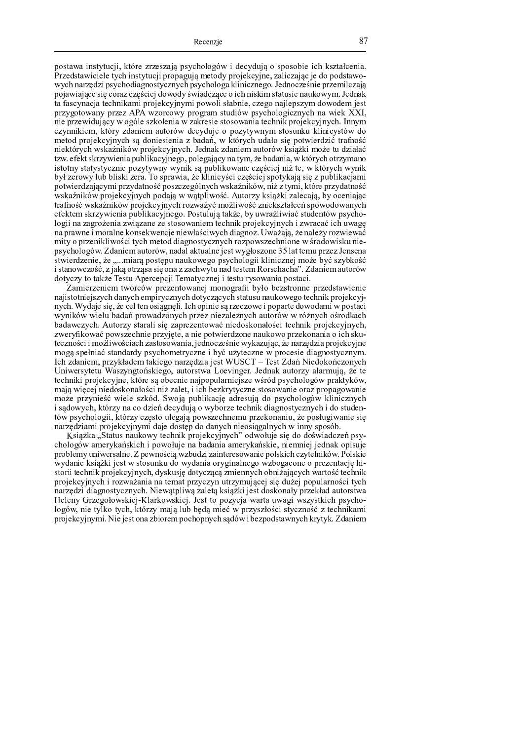¨ © <sup>ª</sup> « <sup>¬</sup> <sup>¬</sup> ® ¯ <sup>ª</sup> « ° « <sup>±</sup> <sup>²</sup> <sup>³</sup> ® ´ <sup>µ</sup> « ¶ · ¸ <sup>¹</sup> · <sup>¹</sup> ¸ <sup>ª</sup> <sup>¹</sup> <sup>¬</sup> <sup>³</sup> <sup>º</sup> ¨ <sup>ª</sup> ° <sup>²</sup> » © <sup>¼</sup> © <sup>½</sup> ¶ ® <sup>¾</sup> ¸ <sup>²</sup> ° <sup>¾</sup> <sup>±</sup> <sup>³</sup> <sup>º</sup> © <sup>ª</sup> ¨ © <sup>ª</sup> © ¿ ® ¸ ® <sup>²</sup> » <sup>µ</sup> <sup>ª</sup> <sup>¹</sup> « <sup>¬</sup> <sup>À</sup> <sup>²</sup> ¸ ¯ ® <sup>¬</sup> <sup>Á</sup> ∂ and a factory of the good of the good of which we can be a factory of the color of the state of the state of the state of the state of the state of the state of the state of the state of the state of the state of the s ° <sup>²</sup> » ¯ <sup>¬</sup> · <sup>¹</sup> <sup>Å</sup> <sup>¾</sup> <sup>¹</sup> ® ¨ <sup>ª</sup> ° <sup>²</sup> » © <sup>¾</sup> ® <sup>¬</sup> <sup>½</sup> ¯ © <sup>ª</sup> « ° <sup>²</sup> <sup>¹</sup> ¯ ° <sup>²</sup> » ¨ <sup>ª</sup> ° <sup>²</sup> » © <sup>¼</sup> © <sup>½</sup> <sup>¬</sup> <sup>µ</sup> <sup>¼</sup> ® ¯ ® <sup>²</sup> <sup>¹</sup> ¯ ¸ <sup>½</sup> © <sup>Á</sup> <sup>Æ</sup> ¸ <sup>¾</sup> ¯ © <sup>²</sup> <sup>¹</sup> ¸ <sup>Ç</sup> ¯ ® ¸ ¨ · <sup>¹</sup> ¸ <sup>Ã</sup> ® <sup>¼</sup> <sup>²</sup> <sup>¹</sup> <sup>¬</sup> <sup>³</sup> <sup>º</sup> ¨ © <sup>³</sup> <sup>¬</sup> ® <sup>¬</sup> <sup>³</sup> <sup>º</sup> <sup>²</sup> ¸ <sup>ª</sup> ® <sup>Å</sup> <sup>²</sup> © · <sup>¬</sup> <sup>¹</sup> <sup>²</sup> <sup>¹</sup> <sup>Å</sup> <sup>Ç</sup> <sup>²</sup> ® ¸ <sup>³</sup> <sup>¾</sup> © © <sup>¾</sup> ° <sup>Ç</sup> ® <sup>¬</sup> <sup>¾</sup> <sup>²</sup> <sup>¹</sup> <sup>º</sup> <sup>²</sup> ¸ © ® <sup>²</sup> » ¯ ® <sup>ª</sup> <sup>µ</sup> ® <sup>Ã</sup> <sup>ª</sup> « <sup>¬</sup> « <sup>±</sup> <sup>ª</sup> ® ¸ ¯ <sup>¬</sup> <sup>±</sup> <sup>µ</sup> © ° <sup>Ã</sup> <sup>Á</sup> <sup>Æ</sup> ¸ <sup>¾</sup> ¯ <sup>¬</sup> <sup>µ</sup> « <sup>¬</sup> <sup>È</sup> <sup>¬</sup> <sup>ª</sup> <sup>²</sup> ° ¯ <sup>¬</sup> <sup>²</sup> <sup>³</sup> <sup>¬</sup> « ¸ <sup>²</sup> » ¯ ® <sup>µ</sup> <sup>¬</sup> <sup>Ã</sup> ® ¨ · © <sup>³</sup> ¸ <sup>µ</sup> <sup>²</sup> ° <sup>³</sup> ¯ ° <sup>Ã</sup> ® ¨ © © <sup>¼</sup> ® <sup>ª</sup> <sup>À</sup> <sup>¬</sup> ¿ ¯ ® ¸ ´ <sup>²</sup> <sup>¹</sup> ¸ <sup>½</sup> © ¯ <sup>¬</sup> <sup>³</sup> <sup>¼</sup> ¸ ¨ <sup>ª</sup> <sup>¹</sup> ° <sup>Ã</sup> <sup>¾</sup> © © <sup>¾</sup> ¸ <sup>Ã</sup> <sup>³</sup> ¸ <sup>ª</sup> « ¨ · <sup>¹</sup> ° <sup>½</sup> © « © <sup>¬</sup> ¯ ° ¨ · <sup>¹</sup> ¸ <sup>¹</sup> <sup>É</sup> Â É <sup>¹</sup> © · <sup>²</sup> © ° ¨ · © <sup>½</sup> · <sup>¬</sup> <sup>Ã</sup> <sup>ª</sup> « <sup>±</sup> <sup>¾</sup> ® ¶ ¨ <sup>ª</sup> ° <sup>²</sup> » © <sup>¼</sup> © <sup>½</sup> ® <sup>²</sup> <sup>¹</sup> ¯ ° <sup>²</sup> » ¯ <sup>¬</sup> ® ¸ <sup>µ</sup> <sup>Ê</sup> <sup>Ê</sup> <sup>Ë</sup> ´ ¯ ® ¸ ¨ · <sup>¹</sup> ¸ ® <sup>¾</sup> <sup>±</sup> <sup>³</sup> <sup>º</sup> <sup>²</sup> ° © <sup>½</sup> ¶ <sup>¼</sup> ¸ <sup>ª</sup> <sup>¹</sup> <sup>µ</sup> © <sup>¼</sup> ¸ ¯ ® <sup>¬</sup> <sup>¹</sup> <sup>¬</sup> <sup>µ</sup> · ¸ <sup>ª</sup> ® ¸ <sup>ª</sup> « © <sup>ª</sup> © <sup>¬</sup> ¯ ® <sup>¬</sup> « ¸ <sup>²</sup> » ¯ ® <sup>µ</sup> ¨ · © <sup>³</sup> ¸ <sup>µ</sup> <sup>²</sup> ° <sup>³</sup> ¯ ° <sup>²</sup> » <sup>Á</sup> <sup>Ë</sup> ¯ ¯ ° <sup>Ã</sup> ² <sup>¹</sup> ° ¯ ¯ ® <sup>µ</sup> ® ¸ <sup>Ã</sup> ´ <sup>µ</sup> « ¶ · ° <sup>¹</sup> <sup>¾</sup> <sup>¬</sup> ¯ ® ¸ <sup>Ã</sup> <sup>¬</sup> <sup>±</sup> « © · ¶ <sup>¾</sup> ¸ <sup>²</sup> ° <sup>¾</sup> <sup>±</sup> <sup>³</sup> ¸ © ¨ © <sup>¹</sup> ° « ° ¯ ° <sup>Ã</sup> <sup>ª</sup> « © <sup>ª</sup> <sup>±</sup> ¯ <sup>µ</sup> <sup>±</sup> <sup>µ</sup> <sup>¼</sup> ® ¯ ® <sup>²</sup> ° <sup>ª</sup> « ¶ <sup>¾</sup> © «A oto el assos oirottistrois do ciossionicas el socios», tri irrostrois triois dio sociostroionica teorisodo ¯ ® ¸ <sup>µ</sup> « ¶ · ° <sup>²</sup> » <sup>ª</sup> <sup>µ</sup> <sup>¬</sup> <sup>Î</sup> ¯ ® <sup>µ</sup> ¶ ¨ · © <sup>³</sup> ¸ <sup>µ</sup> <sup>²</sup> ° <sup>³</sup> ¯ ° <sup>²</sup> » <sup>Á</sup> <sup>Æ</sup> ¸ <sup>¾</sup> ¯ <sup>¬</sup> <sup>µ</sup> <sup>¹</sup> <sup>¾</sup> <sup>¬</sup> ¯ ® ¸ <sup>Ã</sup> <sup>¬</sup> <sup>±</sup> « © · ¶ <sup>µ</sup> <sup>ª</sup> ® <sup>º</sup> <sup>Ï</sup> <sup>µ</sup> ® <sup>Ã</sup> © <sup>Ï</sup> ¸ « <sup>±</sup> <sup>¾</sup> <sup>¹</sup> ® <sup>¬</sup> <sup>À</sup> <sup>¬</sup> <sup>Í</sup> « a seria de alteração as assemblaire extras e o as a de alteração extras e o a e dessa extricte extras e o se ® <sup>ª</sup> « © « ¯ ° <sup>ª</sup> « <sup>¬</sup> « ° <sup>ª</sup> « ° <sup>²</sup> <sup>¹</sup> ¯ ® ¸ ¨ © <sup>¹</sup> ° « ° ¯ ° ° ¯ ® <sup>µ</sup> <sup>ª</sup> <sup>º</sup> ¨ <sup>±</sup> ¿ <sup>¼</sup> ® <sup>µ</sup> © <sup>¬</sup> ¯ ¸ <sup>²</sup> <sup>¹</sup> <sup>Å</sup> <sup>Ç</sup> <sup>²</sup> ® ¸ <sup>³</sup> ¯ ® <sup>Ï</sup> « ¸ ´ <sup>µ</sup> « ¶ · ° <sup>²</sup> » ° ¯ ® <sup>µ</sup> iazzk monozītīt izla jalielis mono — Lo esangtīso — mo itlssacetičos omogos esa ettilioso eso musicilionas sa ¨ © « ® ¸ · <sup>¾</sup> <sup>¹</sup> <sup>¬</sup> <sup>³</sup> <sup>º</sup> <sup>²</sup> ° <sup>Ã</sup> ® ¨ · <sup>¹</sup> ° <sup>¾</sup> <sup>¬</sup> « ¯ © <sup>Ç</sup> <sup>Í</sup> ¨ © <sup>ª</sup> <sup>¹</sup> <sup>²</sup> <sup>¹</sup> ¸ <sup>½</sup> ¶ <sup>¼</sup> ¯ ° <sup>²</sup> » <sup>ª</sup> <sup>µ</sup> <sup>¬</sup> <sup>Î</sup> ¯ ® <sup>µ</sup> ¶ ´ ¯ ® <sup>Ï</sup> <sup>¹</sup> « ° <sup>Ã</sup> ® ´ <sup>µ</sup> « ¶ · ¸ ¨ · <sup>¹</sup> ° <sup>¾</sup> <sup>¬</sup> « ¯ © <sup>Ç</sup> <sup>Í</sup> <sup>ª</sup> <sup>µ</sup> <sup>¬</sup> <sup>Î</sup> ¯ ® <sup>µ</sup> ¶ ¨ · © <sup>³</sup> ¸ <sup>µ</sup> <sup>²</sup> ° <sup>³</sup> ¯ ° <sup>²</sup> » ¨ © <sup>¾</sup> <sup>¬</sup> <sup>³</sup> <sup>º</sup> <sup>º</sup> « ¨ <sup>¼</sup> ® © <sup>Ç</sup> <sup>Í</sup> <sup>Á</sup> <sup>É</sup> <sup>±</sup> « © · <sup>¹</sup> ° <sup>µ</sup> <sup>ª</sup> ® <sup>º</sup> <sup>Ï</sup> <sup>µ</sup> ® <sup>¹</sup> <sup>¬</sup> <sup>¼</sup> ¸ <sup>²</sup> <sup>¬</sup> <sup>³</sup> <sup>º</sup> ´ ¿ ° © <sup>²</sup> ¸ ¯ ® <sup>¬</sup> <sup>³</sup> <sup>º</sup> <sup>²</sup> « · <sup>¬</sup> <sup>È</sup> ¯ © <sup>Ç</sup> <sup>Í</sup> <sup>ª</sup> <sup>µ</sup> <sup>¬</sup> <sup>Î</sup> ¯ ® <sup>µ</sup> ¶ ¨ · © <sup>³</sup> ¸ <sup>µ</sup> <sup>²</sup> ° <sup>³</sup> ¯ ° <sup>²</sup> » · © <sup>¹</sup> <sup>¬</sup> <sup>Ï</sup> ° <sup>Í</sup> <sup>Ã</sup> © <sup>Ï</sup> <sup>¼</sup> ® © <sup>Ç</sup> <sup>Í</sup> <sup>¹</sup> ¯ ® ¸ <sup>µ</sup> <sup>ª</sup> <sup>¹</sup> « <sup>¬</sup> <sup>À</sup> <sup>²</sup> ¸ <sup>Ì</sup> <sup>ª</sup> ¨ © © <sup>¾</sup> © <sup>¬</sup> ¯ ° <sup>²</sup> »  $\epsilon$  , and  $\epsilon$  and  $\epsilon$  and  $\epsilon$  and  $\epsilon$  is a strip of  $\epsilon$  . Destubries to be a strip of  $\epsilon$  and  $\epsilon$  and  $\epsilon$  and  $\epsilon$  and  $\epsilon$  and  $\epsilon$  and  $\epsilon$  and  $\epsilon$  and  $\epsilon$  and  $\epsilon$  and  $\epsilon$  and  $\epsilon$  and  $\epsilon$  and  $\epsilon$  and  $\epsilon$ ia wii wa mamuu waa waa amaa waa wa mamuu wa waa waa wa mamuu wa maa jina wa mataa wa kale waa wa maa waa waa w ¯ <sup>¬</sup> ¨ · <sup>¬</sup> ¯ ¸ ® <sup>Ã</sup> © · <sup>¬</sup> <sup>¼</sup> ¯ ¸ <sup>µ</sup> © ¯ <sup>ª</sup> ¸ <sup>µ</sup> ¸ ¯ <sup>²</sup> <sup>³</sup> ¸ ¯ ® ¸ <sup>À</sup> <sup>¬</sup> <sup>Ç</sup> <sup>²</sup> ® ° <sup>²</sup> » <sup>¾</sup> ® <sup>¬</sup> <sup>½</sup> ¯ © <sup>¹</sup> <sup>Á</sup> <sup>Ñ</sup> <sup>¬</sup> <sup>Ï</sup> <sup>¬</sup> <sup>³</sup> <sup>º</sup> ´ <sup>Ï</sup> ¸ ¯ <sup>¬</sup> <sup>¼</sup> ¸ <sup>Ï</sup> ° · © <sup>¹</sup> ® ¸ <sup>¬</sup> <sup>Í</sup> Ã ® « ° © ¨ · <sup>¹</sup> ¸ ¯ ® <sup>µ</sup> <sup>¼</sup> ® © <sup>Ç</sup> <sup>²</sup> ® « ° <sup>²</sup> » <sup>Ã</sup> ¸ « © <sup>¾</sup> <sup>¾</sup> ® <sup>¬</sup> <sup>½</sup> ¯ © <sup>ª</sup> « ° <sup>²</sup> <sup>¹</sup> ¯ ° <sup>²</sup> » · © <sup>¹</sup> ¨ © <sup>ª</sup> <sup>¹</sup> ¸ <sup>²</sup> » ¯ ® © ¯ ¸ <sup>Ç</sup> · © <sup>¾</sup> © ® <sup>ª</sup> <sup>µ</sup> <sup>±</sup> ¯ ® ¸ <sup>Ä</sup> ¨ <sup>ª</sup> ° <sup>²</sup> » © <sup>¼</sup> © <sup>½</sup> ¶ <sup>Á</sup> <sup>Ò</sup> <sup>¾</sup> <sup>¬</sup> ¯ ® ¸ <sup>Ã</sup> <sup>¬</sup> <sup>±</sup> « © · ¶ ´ ¯ <sup>¬</sup> <sup>¾</sup> <sup>¬</sup> <sup>¼</sup> <sup>¬</sup> <sup>µ</sup> « <sup>±</sup> <sup>¬</sup> <sup>¼</sup> ¯ ¸ <sup>³</sup> ¸ <sup>ª</sup> « ° <sup>½</sup> <sup>À</sup> © <sup>ª</sup> <sup>¹</sup> © ¯ ¸ <sup>Ó</sup> <sup>Ô</sup> <sup>¼</sup> <sup>¬</sup> « « ¸ <sup>Ã</sup> <sup>±</sup> ¨ · <sup>¹</sup> ¸ <sup>¹</sup> <sup>Æ</sup> ¸ ¯ <sup>ª</sup> ¸ ¯ <sup>¬</sup> ª « ® ¸ · <sup>¾</sup> <sup>¹</sup> ¸ ¯ ® ¸ ´ <sup>Ï</sup> ¸ <sup>Õ</sup> <sup>Á</sup> <sup>Á</sup> <sup>Á</sup> <sup>Ã</sup> ® <sup>¬</sup> · <sup>º</sup> ¨ © <sup>ª</sup> « <sup>Å</sup> ¨ <sup>±</sup> ¯ <sup>¬</sup> <sup>±</sup> <sup>µ</sup> © ¸ <sup>½</sup> © ¨ <sup>ª</sup> ° <sup>²</sup> » © <sup>¼</sup> © <sup>½</sup> ® ® <sup>µ</sup> <sup>¼</sup> ® ¯ ® <sup>²</sup> <sup>¹</sup> ¯ ¸ <sup>³</sup> <sup>Ã</sup> © <sup>Ï</sup> ¸ ¿ ° <sup>Í</sup> <sup>ª</sup> <sup>¹</sup> ° ¿ <sup>µ</sup> © <sup>Ç</sup> <sup>Í</sup> o e a secere e a a e que a de e a e a a a a a e e e alesanda que a secere lla a del sel a la corsecere a secere ¾ © « ° <sup>²</sup> <sup>¹</sup> ° « © « <sup>¬</sup> <sup>µ</sup> <sup>Ï</sup> ¸ <sup>Ð</sup> ¸ <sup>ª</sup> « <sup>±</sup> <sup>É</sup> ¨ ¸ · <sup>²</sup> ¸ ¨ <sup>²</sup> <sup>³</sup> ® <sup>Ð</sup> ¸ <sup>Ã</sup> <sup>¬</sup> « ° <sup>²</sup> <sup>¹</sup> ¯ ¸ <sup>³</sup> ® « ¸ <sup>ª</sup> « <sup>±</sup> · ° <sup>ª</sup> © <sup>¬</sup> ¯ ® <sup>¬</sup> ¨ © <sup>ª</sup> « <sup>¬</sup> <sup>²</sup> ® <sup>Á</sup>

Ò annis annis annis annis annis annis annis annis annis i i annis annis annis ann ann ann ann ann ann ann an ¯ <sup>¬</sup> <sup>³</sup> ® <sup>ª</sup> « © « ¯ ® ¸ <sup>³</sup> <sup>ª</sup> <sup>¹</sup> ° <sup>²</sup> » <sup>¾</sup> <sup>¬</sup> ¯ ° <sup>²</sup> » ¸ <sup>Ã</sup> ¨ ® · ° <sup>²</sup> <sup>¹</sup> ¯ ° <sup>²</sup> » <sup>¾</sup> © « ° <sup>²</sup> <sup>¹</sup> <sup>º</sup> <sup>²</sup> ° <sup>²</sup> » <sup>ª</sup> « <sup>¬</sup> « <sup>±</sup> <sup>ª</sup> <sup>±</sup> ¯ <sup>¬</sup> <sup>±</sup> <sup>µ</sup> © ¸ <sup>½</sup> © « ¸ <sup>²</sup> » ¯ ® <sup>µ</sup> ¨ · © <sup>³</sup> ¸ <sup>µ</sup> <sup>²</sup> ° <sup>³</sup> <sup>Ä</sup> ¯ ° <sup>²</sup> » <sup>Á</sup> <sup>Ù</sup> ° <sup>¾</sup> <sup>¬</sup> <sup>³</sup> ¸ <sup>ª</sup> ® <sup>Å</sup> ´ <sup>Ï</sup> ¸ <sup>²</sup> ¸ <sup>¼</sup> « ¸ ¯ © <sup>ª</sup> ® <sup>º</sup> <sup>½</sup> ¯ <sup>Å</sup> <sup>¼</sup> ® <sup>Á</sup> <sup>Ë</sup> <sup>²</sup> » © ¨ ® ¯ ® ¸ <sup>ª</sup> <sup>º</sup> · <sup>¹</sup> ¸ <sup>²</sup> <sup>¹</sup> © ¸ ® ¨ © ¨ <sup>¬</sup> · « ¸ <sup>¾</sup> © © <sup>¾</sup> <sup>¬</sup> <sup>Ã</sup> ® ¨ © <sup>ª</sup> « <sup>¬</sup> <sup>²</sup> ® ∙ dia mampiasa tanggalan ing kabupatèn karang mangkali na mangkatan kalendar kalendar karang karang karang kara ie aangeste met die Afrikaanse ookstel ook met die sekende en die die die verkende ook die die ookstelle en die ¹ ¸ · ° <sup>Ø</sup> <sup>µ</sup> © <sup>¬</sup> <sup>Í</sup> ¨ © <sup>ª</sup> <sup>¹</sup> ¸ <sup>²</sup> » ¯ ® ¸ ¨ · <sup>¹</sup> ° <sup>³</sup> <sup>Å</sup> « ¸ ´ <sup>¬</sup> ¯ ® ¸ ¨ © « ® ¸ · <sup>¾</sup> <sup>¹</sup> © ¯ ¸ ¯ <sup>¬</sup> <sup>±</sup> <sup>µ</sup> © © ¨ · <sup>¹</sup> ¸ <sup>µ</sup> © ¯ <sup>¬</sup> ¯ ® <sup>¬</sup> © ® <sup>²</sup> » <sup>ª</sup> <sup>µ</sup> <sup>±</sup> <sup>Ä</sup> « ¸ <sup>²</sup> <sup>¹</sup> ¯ © <sup>Ç</sup> <sup>²</sup> ® ® <sup>Ã</sup> © <sup>Ï</sup> <sup>¼</sup> ® © <sup>Ç</sup> <sup>²</sup> ® <sup>¬</sup> <sup>²</sup> » <sup>¹</sup> <sup>¬</sup> <sup>ª</sup> « © <sup>ª</sup> © <sup>¬</sup> ¯ ® <sup>¬</sup> ´ <sup>³</sup> ¸ <sup>¾</sup> ¯ © <sup>²</sup> <sup>¹</sup> ¸ <sup>Ç</sup> ¯ ® ¸ ° <sup>µ</sup> <sup>¬</sup> <sup>¹</sup> <sup>±</sup> <sup>³</sup> <sup>º</sup> <sup>²</sup> ´ <sup>Ï</sup> ¸ ¯ <sup>¬</sup> · <sup>¹</sup> <sup>Å</sup> <sup>¾</sup> <sup>¹</sup> ® <sup>¬</sup> ¨ · © <sup>³</sup> ¸ <sup>µ</sup> <sup>²</sup> ° <sup>³</sup> ¯ ¸ Ã © <sup>½</sup> <sup>º</sup> <sup>ª</sup> ¨ ¸ <sup>À</sup> ¯ ® <sup>¬</sup> <sup>Í</sup> <sup>ª</sup> « <sup>¬</sup> ¯ <sup>¾</sup> <sup>¬</sup> · <sup>¾</sup> ° ¨ <sup>ª</sup> ° <sup>²</sup> » © <sup>Ã</sup> ¸ « · ° <sup>²</sup> <sup>¹</sup> ¯ ¸ ® ¿ ° <sup>Í</sup> <sup>±</sup> <sup>Ï</sup> ° « ¸ <sup>²</sup> <sup>¹</sup> ¯ ¸ ¨ · © <sup>²</sup> ¸ <sup>ª</sup> ® ¸ <sup>¾</sup> ® <sup>¬</sup> <sup>½</sup> ¯ © <sup>ª</sup> « ° <sup>²</sup> <sup>¹</sup> ¯ ° <sup>Ã</sup> <sup>Á</sup> Ë ali mala se san se samedela alesse Aalesa o a ome duesa se del la filla del sede foi a se del segue de se es Ñ de ses an eas des Nin em ses eas an Isaac an an dezes I an este eas. Is de als els as em a als nezes a — a m « ¸ <sup>²</sup> » ¯ ® <sup>µ</sup> ® ¨ · © <sup>³</sup> ¸ <sup>µ</sup> <sup>²</sup> ° <sup>³</sup> ¯ ¸ ´ <sup>µ</sup> « ¶ · ¸ <sup>ª</sup> <sup>º</sup> © ¿ ¸ <sup>²</sup> ¯ ® ¸ ¯ <sup>¬</sup> <sup>³</sup> ¨ © ¨ <sup>±</sup> <sup>¼</sup> <sup>¬</sup> · ¯ ® ¸ <sup>³</sup> <sup>ª</sup> <sup>¹</sup> ¸ <sup>Ç</sup> · ¶ <sup>¾</sup> ¨ <sup>ª</sup> ° <sup>²</sup> » © <sup>¼</sup> © <sup>½</sup> ¶ ¨ · <sup>¬</sup> <sup>µ</sup> « ° <sup>µ</sup> ¶ ´ Ã <sup>¬</sup> <sup>³</sup> <sup>º</sup> ® <sup>Å</sup> <sup>²</sup> ¸ <sup>³</sup> ¯ ® ¸ <sup>¾</sup> © <sup>ª</sup> <sup>µ</sup> © ¯ <sup>¬</sup> <sup>À</sup> © <sup>Ç</sup> <sup>²</sup> ® ¯ ® <sup>Ï</sup> <sup>¹</sup> <sup>¬</sup> <sup>¼</sup> ¸ « ´ ® ® <sup>²</sup> » ¿ ¸ <sup>¹</sup> <sup>µ</sup> · ° « ° <sup>²</sup> <sup>¹</sup> ¯ ¸ <sup>ª</sup> « © <sup>ª</sup> © <sup>¬</sup> ¯ ® ¸ © · <sup>¬</sup> <sup>¹</sup> ¨ · © ¨ <sup>¬</sup> <sup>½</sup> © <sup>¬</sup> ¯ ® ¸ × a ≡ a van estado se a ser ela pelaña a ser arabidada a an estado de mesaldalendar la mesaldida de la estado ® <sup>ª</sup> <sup>º</sup> <sup>¾</sup> © ° <sup>²</sup> » ´ <sup>µ</sup> « ¶ · <sup>¹</sup> ° ¯ <sup>¬</sup> <sup>²</sup> © <sup>¾</sup> <sup>¹</sup> ® ¸ <sup>Ì</sup> <sup>¾</sup> ¸ <sup>²</sup> ° <sup>¾</sup> <sup>±</sup> <sup>³</sup> <sup>º</sup> © ° ¿ © · <sup>¹</sup> ¸ « ¸ <sup>²</sup> » ¯ ® <sup>µ</sup> <sup>¾</sup> ® <sup>¬</sup> <sup>½</sup> ¯ © <sup>ª</sup> « ° <sup>²</sup> <sup>¹</sup> ¯ ° <sup>²</sup> » ® <sup>¾</sup> © <sup>ª</sup> « <sup>±</sup> <sup>¾</sup> ¸ ¯ <sup>Ä</sup> « @ secondarista de la governidad de la secondaria de la governa de la secondación de la secondaria de la seconda ¯ <sup>¬</sup> · <sup>¹</sup> <sup>Å</sup> <sup>¾</sup> <sup>¹</sup> ® <sup>¬</sup> <sup>Ã</sup> ® ¨ · © <sup>³</sup> ¸ <sup>µ</sup> <sup>²</sup> ° <sup>³</sup> ¯ ° <sup>Ã</sup> ® <sup>¾</sup> <sup>¬</sup> <sup>³</sup> ¸ <sup>¾</sup> © <sup>ª</sup> « <sup>Å</sup> ¨ <sup>¾</sup> © <sup>¾</sup> <sup>¬</sup> ¯ ° <sup>²</sup> » ¯ ® ¸ © <sup>ª</sup> ® <sup>º</sup> <sup>½</sup> <sup>¬</sup> <sup>¼</sup> ¯ ° <sup>²</sup> » ® ¯ ¯ ° <sup>ª</sup> ¨ © <sup>ª</sup> ¶ ¿ <sup>Á</sup>

à ª ® <sup>º</sup> <sup>Ï</sup> <sup>µ</sup> <sup>¬</sup> <sup>Õ</sup> <sup>Ú</sup> « <sup>¬</sup> « <sup>±</sup> <sup>ª</sup> ¯ <sup>¬</sup> <sup>±</sup> <sup>µ</sup> © ° « ¸ <sup>²</sup> » ¯ ® <sup>µ</sup> ¨ · © <sup>³</sup> ¸ <sup>µ</sup> <sup>²</sup> ° <sup>³</sup> ¯ ° <sup>²</sup> » <sup>×</sup> © <sup>¾</sup> © <sup>À</sup> <sup>±</sup> <sup>³</sup> ¸ <sup>ª</sup> ® <sup>Å</sup> <sup>¾</sup> © <sup>¾</sup> © <sup>Ç</sup> ® <sup>¬</sup> <sup>¾</sup> <sup>²</sup> <sup>¹</sup> ¸ <sup>Ì</sup> ¨ <sup>ª</sup> ° <sup>Ä</sup> o la o lo o ostri o saa ostriro sagirao la a sastro kiao, sao la o gosana ostrirosagirao, saa osaasana ao gaadir osaagira ن • أو أو أو أو بالمسلم الذي أو أو أو أو أو أو أو أو بالمسلم الأو بالمسلم الأو بالمسلم الأو بالمسلم الأو الأو ا  $\bm{u}$  , and  $\bm{v}$  ,  $\bm{v}$  ,  $\bm{v}$  ,  $\bm{v}$  ,  $\bm{v}$  ,  $\bm{v}$  ,  $\bm{v}$  ,  $\bm{v}$  ,  $\bm{v}$  ,  $\bm{v}$  ,  $\bm{v}$  ,  $\bm{v}$  ,  $\bm{v}$  ,  $\bm{v}$  ,  $\bm{v}$  ,  $\bm{v}$  ,  $\bm{v}$  ,  $\bm{v}$  ,  $\bm{v}$  ,  $\bm{v}$  ,  $\bm{v}$ ∞ e o o se eleccione de construendo ales estados de construeiros por estados de construeiros e ales estados de ¨ · © <sup>³</sup> ¸ <sup>µ</sup> <sup>²</sup> ° <sup>³</sup> ¯ ° <sup>²</sup> » ® · © <sup>¹</sup> <sup>¬</sup> <sup>Ï</sup> <sup>¬</sup> ¯ ® <sup>¬</sup> ¯ <sup>¬</sup> « ¸ <sup>Ã</sup> <sup>¬</sup> « ¨ · <sup>¹</sup> ° <sup>²</sup> <sup>¹</sup> ° ¯ <sup>±</sup> « · <sup>¹</sup> ° <sup>Ã</sup> <sup>±</sup> <sup>³</sup> <sup>º</sup> <sup>²</sup> ¸ <sup>³</sup> <sup>ª</sup> ® <sup>Å</sup> <sup>¾</sup> <sup>±</sup> <sup>Ï</sup> ¸ <sup>³</sup> ¨ © ¨ <sup>±</sup> <sup>¼</sup> <sup>¬</sup> · ¯ © <sup>Ç</sup> <sup>²</sup> ® « ° <sup>²</sup> » ¯ <sup>¬</sup> · <sup>¹</sup> <sup>Å</sup> <sup>¾</sup> <sup>¹</sup> ® <sup>¾</sup> ® <sup>¬</sup> <sup>½</sup> ¯ © <sup>ª</sup> « ° <sup>²</sup> <sup>¹</sup> ¯ ° <sup>²</sup> » <sup>Á</sup> <sup>Ý</sup> ® ¸ <sup>º</sup> « ¨ <sup>¼</sup> ® <sup>º</sup> <sup>¹</sup> <sup>¬</sup> <sup>¼</sup> ¸ « <sup>º</sup> <sup>µ</sup> <sup>ª</sup> ® <sup>º</sup> <sup>Ï</sup> <sup>µ</sup> ® <sup>³</sup> ¸ <sup>ª</sup> « <sup>¾</sup> © <sup>ª</sup> <sup>µ</sup> © ¯ <sup>¬</sup> <sup>À</sup> ° ¨ · <sup>¹</sup> ¸ <sup>µ</sup> <sup>À</sup> <sup>¬</sup> <sup>¾</sup> <sup>¬</sup> <sup>±</sup> « © · <sup>ª</sup> « <sup>¬</sup>  $\rm{H}_{\rm{cl,corr}}$   $C$  as a lampling  $V_{\rm{l,rad}}$  and  $\rm{L}_{\rm{eff}}$  . Let to a contain monto sumply momentum a month ia e o xer ara destina deseta indianeza negara tele legala nesara estan energelaren edesaren ego ez dezelen ez ® ¤ o → o ir o x var vas → Nico → o d \* o va o riscovas es o o la que azzo la do o d a o constante de irente de la decode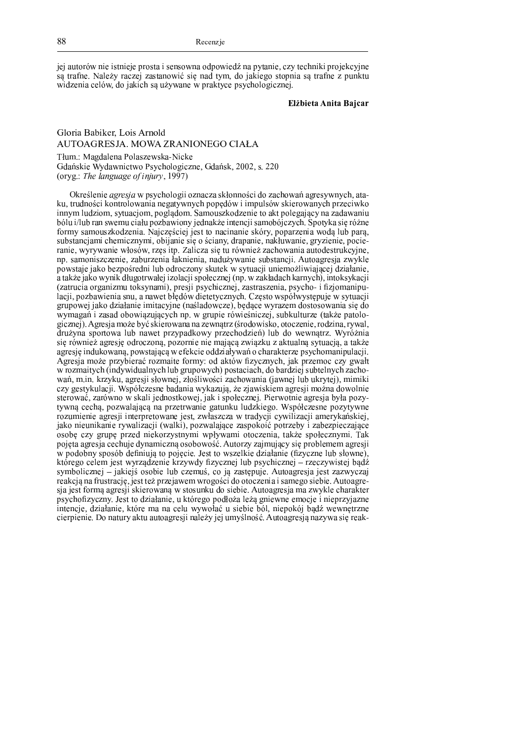jej autorów nie istnieje prosta i sensowna odpowiedź na pytanie, czy techniki projekcyjne są trafne. Należy raczej zastanowić się nad tym, do jakiego stopnia są trafne z punktu widzenia celów, do jakich są używane w praktyce psychologicznej.

Elżbieta Anita Baicar

### Gloria Babiker, Lois Arnold AUTOAGRESJA. MOWA ZRANIONEGO CIAŁA Tłum.: Magdalena Polaszewska-Nicke Gdańskie Wydawnictwo Psychologiczne, Gdańsk, 2002, s. 220 (oryg.: The language of injury, 1997)

Określenie *agresja* w psychologii oznacza skłonności do zachowań agresywnych, ataku, trudności kontrolowania negatywnych popędów i impulsów skierowanych przeciwko innym ludziom, sytuacjom, poglądom. Samouszkodzenie to akt polegający na zadawaniu bólu i/lub ran swemu ciału pozbawiony jednakże intencji samobójczych. Spotyka się różne formy samouszkodzenia. Najczęściej jest to nacinanie skóry, poparzenia wodą lub parą, substancjami chemicznymi, obijanie się o ściany, drapanie, nakłuwanie, gryzienie, pocieranie, wyrywanie włosów, rzęs itp. Zalicza się tu również zachowania autodestrukcyjne, np. samoniszczenie, zaburzenia łaknienia, nadużywanie substancji. Autoagresja zwykle powstaje jako bezpośredni lub odroczony skutek w sytuacji uniemożliwiającej działanie, a także jako wynik długotrwałej izolacji społecznej (np. w zakładach karnych), intoksykacji (zatrucia organizmu toksynami), presji psychicznej, zastraszenia, psycho- i fizjomanipulacji, pozbawienia snu, a nawet błędów dietetycznych. Często współwystępuje w sytuacji grupowej jako działanie imitacyjne (naśladowcze), będące wyrazem dostosowania się do wymagań i zasad obowiązujących np. w grupie rówieśniczej, subkulturze (także patologicznej). Agresja może być skierowana na zewnątrz (środowisko, otoczenie, rodzina, rywal, drużyna sportowa lub nawet przypadkowy przechodzień) lub do wewnątrz. Wyróżnia sie również agresie odroczona, pozornie nie mająca zwiazku z aktualna sytuacja, a także agresję indukowaną, powstającą w efekcie oddziaływań o charakterze psychomanipulacji. Agresja może przybierać rozmaite formy: od aktów fizycznych, jak przemoc czy gwałt w rozmaitych (indywidualnych lub grupowych) postaciach, do bardziej subtelnych zachowań, m.in. krzyku, agresji słownej, złośliwości zachowania (jawnej lub ukrytej), mimiki czy gestykulacji. Współczesne badania wykazują, że zjawiskiem agresji można dowolnie sterować, zarówno w skali jednostkowej, jak i społecznej. Pierwotnie agresja była pozytywną cechą, pozwalającą na przetrwanie gatunku ludzkiego. Współczesne pozytywne rozumienie agresji interpretowane jest, zwłaszcza w tradycji cywilizacji amerykańskiej, jako nieunikanie rywalizacji (walki), pozwalające zaspokoić potrzeby i zabezpieczające osobę czy grupę przed niekorzystnymi wpływami otoczenia, także społecznymi. Tak pojęta agresja cechuje dynamiczną osobowość. Autorzy zajmujący się problemem agresji w podobny sposób definiują to pojęcie. Jest to wszelkie działanie (fizyczne lub słowne), którego celem jest wyrządzenie krzywdy fizycznej lub psychicznej – rzeczywistej bądź symbolicznej - jakiejś osobie lub czemuś, co ją zastępuje. Autoagresja jest zazwyczaj reakcją na frustrację, jest też przejawem wrogości do otoczenia i samego siębie. Autoagresja jest formą agresji skierowaną w stosunku do siebie. Autoagresja ma zwykle charakter psychofizyczny. Jest to działanie, u którego podłoża leżą gniewne emocje i nieprzyjazne intencje, działanie, które ma na celu wywołać u siebie ból, niepokój bądź wewnętrzne cierpienie. Do natury aktu autoagresji należy jej umyślność. Autoagresją nazywa się reak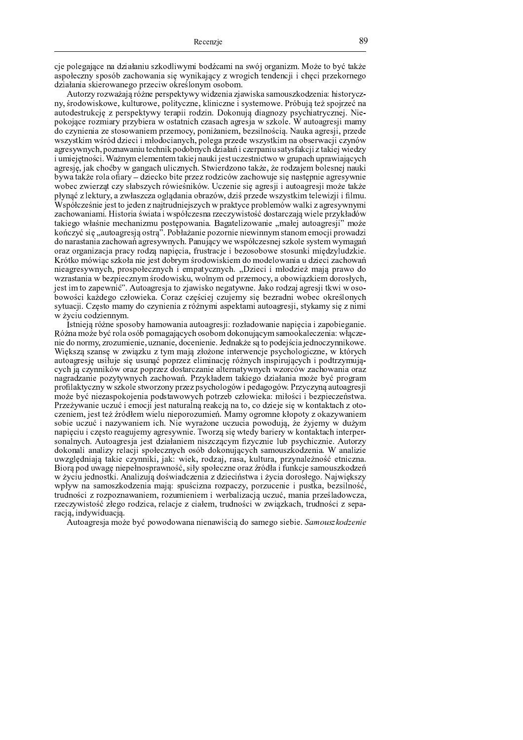aio se logojo o seo driokosili grito dilittasi eo droosei so gittoi osoosirsee. Niloro to etto toitri p <sup>x</sup> <sup>l</sup> <sup>m</sup> <sup>v</sup> <sup>k</sup> <sup>i</sup> <sup>t</sup> <sup>r</sup> { <sup>x</sup> <sup>l</sup> <sup>m</sup> <sup>x</sup> } <sup>t</sup> <sup>p</sup> <sup>i</sup> <sup>m</sup> <sup>z</sup> <sup>p</sup> <sup>r</sup> <sup>u</sup> <sup>p</sup> <sup>x</sup> <sup>u</sup> <sup>z</sup> { <sup>r</sup> <sup>u</sup> <sup>y</sup> <sup>p</sup> <sup>j</sup> <sup>q</sup> <sup>i</sup> { <sup>t</sup> <sup>z</sup> <sup>m</sup> <sup>o</sup> <sup>u</sup> <sup>i</sup> <sup>k</sup> <sup>r</sup> <sup>s</sup> <sup>k</sup> <sup>r</sup> <sup>i</sup> <sup>j</sup> <sup>u</sup> <sup>u</sup> <sup>i</sup> <sup>i</sup> <sup>u</sup> <sup>l</sup> <sup>t</sup> <sup>k</sup> <sup>y</sup> <sup>m</sup> <sup>r</sup> <sup>k</sup> <sup>o</sup> <sup>m</sup> s tu o komunistas da prioma o m o martio diri o izmoglo marmasi o godina o m

we have the contract of the state of the contract of the state of the contract of the final state were the sta r s m s m s m i t r i m i t u stil m a di t r t r a da i li m s t a s s a s a s s a s a s a k i t a t s a s a p <sup>w</sup> <sup>m</sup> <sup>s</sup> <sup>k</sup> <sup>x</sup> <sup>w</sup> <sup>y</sup> <sup>i</sup> <sup>j</sup> <sup>t</sup> <sup>l</sup> <sup>k</sup> <sup>x</sup> <sup>l</sup> <sup>k</sup> <sup>y</sup> { <sup>z</sup> { <sup>k</sup> <sup>p</sup> <sup>l</sup> <sup>u</sup> <sup>u</sup> <sup>m</sup> <sup>s</sup> <sup>t</sup> <sup>u</sup> <sup>r</sup> <sup>m</sup> <sup>y</sup> <sup>m</sup> <sup>r</sup> <sup>w</sup> <sup>j</sup> <sup>q</sup> <sup>s</sup> <sup>u</sup> <sup>p</sup> <sup>o</sup> <sup>r</sup> <sup>m</sup> <sup>t</sup> { <sup>l</sup> <sup>x</sup> { <sup>i</sup> <sup>u</sup> <sup>p</sup> { <sup>i</sup> <sup>t</sup> <sup>r</sup> <sup>k</sup> <sup>j</sup> <sup>u</sup> <sup>k</sup> is otrosoo sommasosy samylasoso yy ogtotasola omogoola ogsagaso yy gmirolo. Ni oytoogsagaanaanaan s m i t m i t m i m i t k m i t k i m i t i m i t m i t i m i m i n i u n i u d i u m i d a k k x j u n i u n m z t a t u u wa iliyaha a a ti a a i wa la a a a a a a a a a a wa ma iliyati wa wa a a a anilia a i ati wa a i p o k p a se se se la persona e se se se la pala de la persona la persona de la persona de la provincia del po u waa i oli otaa o gool. Waa taaa oli gaa olatoma to uu oli ah ow waa garaa dheer ah waa waa o waa dhicaan dho p o k a c a c a i a i a d i a c m a w o w a i t i i a m r a i k a k a k a k a k m a s t m a s i w w y w w y w w } { <sup>z</sup> <sup>p</sup> <sup>p</sup> <sup>y</sup> <sup>k</sup> <sup>m</sup> <sup>n</sup> <sup>p</sup> <sup>m</sup> <sup>p</sup> { <sup>s</sup> <sup>t</sup> <sup>u</sup> <sup>k</sup> <sup>i</sup> <sup>y</sup> <sup>m</sup> } <sup>u</sup> <sup>k</sup> <sup>l</sup> <sup>t</sup> <sup>k</sup> <sup>t</sup> <sup>m</sup> <sup>s</sup> <sup>t</sup> <sup>u</sup> <sup>i</sup> <sup>z</sup> <sup>t</sup> <sup>p</sup> <sup>i</sup> <sup>m</sup> <sup>z</sup> <sup>w</sup> <sup>j</sup> <sup>k</sup> <sup>x</sup> <sup>u</sup> <sup>r</sup> <sup>p</sup> <sup>x</sup> <sup>l</sup> <sup>r</sup> <sup>u</sup> <sup>k</sup> <sup>p</sup> <sup>o</sup> <sup>k</sup> <sup>x</sup> { <sup>z</sup> <sup>r</sup> <sup>u</sup> <sup>k</sup> z <sup>m</sup> } <sup>k</sup> <sup>i</sup> <sup>t</sup> <sup>z</sup> <sup>u</sup> <sup>k</sup> <sup>t</sup> <sup>q</sup> <sup>i</sup> <sup>t</sup> { <sup>x</sup> <sup>v</sup> <sup>p</sup> } <sup>x</sup> <sup>t</sup> { <sup>i</sup> <sup>z</sup> <sup>u</sup> <sup>k</sup> <sup>r</sup> <sup>u</sup> <sup>y</sup> <sup>z</sup> <sup>i</sup> <sup>t</sup> <sup>k</sup> <sup>r</sup> <sup>u</sup> <sup>k</sup> <sup>x</sup> <sup>u</sup> <sup>p</sup> <sup>o</sup> <sup>k</sup> <sup>x</sup> <sup>j</sup> <sup>u</sup> <sup>u</sup> <sup>p</sup> <sup>w</sup> <sup>m</sup> <sup>p</sup> <sup>o</sup> <sup>k</sup> <sup>x</sup> <sup>j</sup> <sup>u</sup> <sup>|</sup> <sup>m</sup> <sup>k</sup> <sup>p</sup> <sup>y</sup> <sup>k</sup> l <sup>v</sup> { <sup>r</sup> <sup>q</sup> <sup>t</sup> <sup>n</sup> <sup>k</sup> <sup>y</sup> <sup>w</sup> { <sup>p</sup> <sup>t</sup> <sup>z</sup> <sup>v</sup> <sup>p</sup> <sup>x</sup> <sup>t</sup> <sup>i</sup> <sup>t</sup> <sup>p</sup> <sup>m</sup> <sup>o</sup> <sup>n</sup> <sup>q</sup> <sup>s</sup> <sup>p</sup> <sup>r</sup> <sup>u</sup> <sup>p</sup> <sup>m</sup> } <sup>p</sup> <sup>t</sup> <sup>z</sup> <sup>s</sup> <sup>t</sup> <sup>u</sup> <sup>l</sup> <sup>t</sup> <sup>k</sup> <sup>s</sup> <sup>k</sup> <sup>z</sup> <sup>x</sup> <sup>t</sup> { <sup>x</sup> <sup>y</sup> <sup>u</sup> <sup>|</sup> <sup>k</sup> <sup>n</sup> <sup>k</sup> <sup>z</sup> <sup>u</sup> <sup>t</sup> <sup>j</sup> <sup>u</sup> <sup>u</sup> <sup>n</sup> <sup>|</sup> <sup>w</sup> <sup>x</sup> <sup>l</sup> <sup>v</sup> <sup>i</sup> <sup>t</sup> <sup>k</sup> <sup>r</sup> <sup>u</sup> <sup>k</sup> <sup>j</sup> <sup>k</sup> <sup>x</sup> <sup>m</sup> <sup>j</sup> <sup>k</sup> <sup>s</sup> <sup>k</sup> <sup>r</sup> <sup>t</sup> <sup>r</sup> <sup>p</sup> <sup>j</sup> <sup>w</sup> <sup>s</sup> <sup>r</sup> <sup>u</sup> <sup>k</sup> <sup>j</sup> <sup>x</sup> <sup>t</sup> { <sup>i</sup> <sup>z</sup> <sup>l</sup> <sup>p</sup> <sup>y</sup> { <sup>i</sup> <sup>k</sup> <sup>l</sup> <sup>m</sup> } <sup>n</sup> <sup>k</sup> <sup>|</sup> <sup>z</sup> <sup>z</sup> <sup>p</sup> <sup>n</sup> <sup>y</sup> <sup>u</sup> <sup>t</sup> <sup>p</sup> <sup>o</sup> <sup>k</sup> <sup>x</sup> { <sup>z</sup> <sup>r</sup> { <sup>|</sup> <sup>u</sup> t <sup>p</sup> <sup>i</sup> <sup>m</sup> <sup>z</sup> <sup>p</sup> <sup>r</sup> <sup>u</sup> <sup>p</sup> <sup>|</sup> <sup>u</sup> <sup>u</sup> <sup>x</sup> <sup>m</sup> <sup>u</sup> <sup>p</sup> <sup>z</sup> <sup>u</sup> <sup>p</sup> <sup>p</sup> <sup>u</sup> <sup>z</sup> <sup>x</sup> <sup>l</sup> <sup>v</sup> <sup>i</sup> <sup>t</sup> <sup>k</sup> <sup>x</sup> <sup>r</sup> <sup>p</sup> <sup>t</sup> <sup>k</sup> <sup>i</sup> <sup>t</sup> { <sup>z</sup> <sup>u</sup> <sup>x</sup> <sup>m</sup> <sup>s</sup> <sup>m</sup> <sup>x</sup> <sup>p</sup> <sup>i</sup> <sup>t</sup> <sup>p</sup> <sup>j</sup> <sup>q</sup> <sup>z</sup> <sup>u</sup> <sup>k</sup> <sup>n</sup> <sup>k</sup> <sup>l</sup> <sup>t</sup> { <sup>y</sup> <sup>v</sup> <sup>p</sup> <sup>s</sup> <sup>z</sup> <sup>p</sup> <sup>y</sup> <sup>u</sup> <sup>k</sup> <sup>o</sup> <sup>m</sup> <sup>z</sup> <sup>v</sup> <sup>p</sup> <sup>r</sup> <sup>u</sup> <sup>k</sup> <sup>|</sup> <sup>k</sup> <sup>i</sup> <sup>p</sup> <sup>r</sup> <sup>u</sup> <sup>t</sup> <sup>|</sup> <sup>w</sup> <sup>l</sup> <sup>m</sup> <sup>x</sup> <sup>l</sup> <sup>m</sup> <sup>z</sup> <sup>p</sup> <sup>r</sup> <sup>u</sup> <sup>p</sup> <sup>p</sup> <sup>o</sup> <sup>p</sup> <sup>k</sup> <sup>n</sup> <sup>u</sup> <sup>t</sup> <sup>m</sup> <sup>z</sup> <sup>p</sup> <sup>r</sup> <sup>u</sup> <sup>k</sup> <sup>|</sup> <sup>p</sup> <sup>v</sup> <sup>k</sup> <sup>j</sup> <sup>p</sup> <sup>w</sup> <sup>m</sup> <sup>p</sup> <sup>o</sup> <sup>k</sup> <sup>x</sup> <sup>j</sup> <sup>u</sup> <sup>|</sup> <sup>m</sup> <sup>k</sup> i a n m m p o y a n a m a m a n a m a n a l i a k m a n a m a n a r a r a r m a r m a n a n a n a n a n a n a s <sup>m</sup> <sup>r</sup> <sup>p</sup> <sup>p</sup> <sup>x</sup> <sup>p</sup> <sup>r</sup> <sup>u</sup> <sup>p</sup> <sup>t</sup> <sup>p</sup> <sup>i</sup> <sup>m</sup> <sup>z</sup> <sup>p</sup> <sup>p</sup> <sup>o</sup> <sup>k</sup> <sup>x</sup> { <sup>z</sup> <sup>r</sup> { <sup>i</sup> <sup>p</sup> <sup>r</sup> <sup>w</sup> <sup>j</sup> <sup>q</sup> <sup>i</sup> { <sup>z</sup> <sup>k</sup> <sup>z</sup> <sup>x</sup> <sup>l</sup> <sup>v</sup> <sup>i</sup> <sup>t</sup> <sup>k</sup> <sup>x</sup> <sup>r</sup> <sup>k</sup> <sup>j</sup> <sup>x</sup> <sup>t</sup> <sup>y</sup> <sup>m</sup> <sup>n</sup> <sup>k</sup> <sup>x</sup> { <sup>x</sup> <sup>k</sup> <sup>|</sup> <sup>z</sup> { <sup>|</sup> <sup>p</sup> <sup>o</sup> <sup>p</sup> m n o p n s t p i s i j n s t m s i u s t r p i s a w r w r p i s s t i s m a w r y w r y w r y i w s t y w s t IZ m241. 2 m 2 m v p r u k s 12 m v p v p r u k m s s v v s m s s k n m s s v s s t u s s t u t p i s s t u m s r <sup>u</sup> <sup>k</sup> <sup>p</sup> <sup>o</sup> <sup>k</sup> <sup>x</sup> { <sup>z</sup> <sup>r</sup> { <sup>i</sup> <sup>l</sup> <sup>m</sup> <sup>x</sup> <sup>l</sup> <sup>m</sup> <sup>v</sup> <sup>k</sup> <sup>i</sup> <sup>t</sup> <sup>r</sup> { <sup>i</sup> <sup>u</sup> <sup>k</sup> <sup>|</sup> <sup>l</sup> <sup>p</sup> { <sup>i</sup> <sup>t</sup> <sup>r</sup> { <sup>i</sup> <sup>t</sup> <sup>u</sup> <sup>k</sup> <sup>i</sup> <sup>u</sup> <sup>u</sup> <sup>|</sup> <sup>v</sup> <sup>m</sup> <sup>s</sup> <sup>t</sup> <sup>u</sup> <sup>k</sup> <sup>|</sup> <sup>p</sup> <sup>j</sup> <sup>q</sup> <sup>l</sup> <sup>p</sup> <sup>z</sup> <sup>m</sup> <sup>s</sup> <sup>m</sup> z <sup>t</sup> <sup>p</sup> <sup>x</sup> <sup>p</sup> <sup>r</sup> <sup>u</sup> <sup>p</sup> <sup>z</sup> } <sup>k</sup> <sup>t</sup> <sup>l</sup> <sup>u</sup> <sup>k</sup> <sup>i</sup> <sup>t</sup> <sup>r</sup> { <sup>|</sup> <sup>m</sup> <sup>s</sup> <sup>m</sup> <sup>z</sup> <sup>u</sup> <sup>x</sup> <sup>y</sup> <sup>w</sup> <sup>z</sup> <sup>m</sup> <sup>n</sup> <sup>r</sup> { <sup>|</sup> <sup>m</sup> <sup>s</sup> <sup>l</sup> <sup>t</sup> <sup>k</sup> <sup>|</sup> <sup>m</sup> <sup>i</sup> { <sup>p</sup> <sup>m</sup> } <sup>m</sup> <sup>z</sup> <sup>u</sup> <sup>q</sup> <sup>t</sup> <sup>y</sup> <sup>u</sup> <sup>k</sup> <sup>|</sup> <sup>s</sup> <sup>m</sup> <sup>m</sup> <sup>x</sup> <sup>v</sup> { <sup>i</sup> j barijan po osnovnosti 200 . A zarad su po koje su zarad su zaradnom se stanovnih područili za svoje se se se } <sup>m</sup> <sup>z</sup> <sup>m</sup> <sup>i</sup> <sup>u</sup> <sup>y</sup> <sup>p</sup> <sup>s</sup> <sup>k</sup> <sup>o</sup> <sup>m</sup> <sup>i</sup> <sup>t</sup> <sup>v</sup> <sup>m</sup> <sup>z</sup> <sup>u</sup> <sup>k</sup> <sup>y</sup> <sup>p</sup> <sup>m</sup> <sup>p</sup> <sup>t</sup> <sup>i</sup> <sup>t</sup> <sup>i</sup> <sup>u</sup> <sup>k</sup> <sup>j</sup> <sup>i</sup> <sup>t</sup> <sup>w</sup> <sup>j</sup> <sup>k</sup> <sup>|</sup> { <sup>x</sup> <sup>u</sup> } <sup>k</sup> <sup>t</sup> <sup>p</sup> <sup>s</sup> <sup>r</sup> <sup>u</sup> <sup>z</sup> <sup>m</sup> } <sup>k</sup> <sup>i</sup> <sup>m</sup> <sup>y</sup> <sup>k</sup> <sup>n</sup> <sup>m</sup> <sup>r</sup> { <sup>i</sup> x p i j j u p i j n i t k r u p i j n i m i m i k y m i k y p i k y n n p o k y k y k y m i k y p i k j m i k z { <sup>i</sup> <sup>u</sup> <sup>w</sup> <sup>i</sup> <sup>m</sup> <sup>s</sup> <sup>t</sup> <sup>u</sup> <sup>k</sup> <sup>r</sup> <sup>r</sup> { <sup>|</sup>

Istoj aje pôčno sposobu komenuacio outonovesiji pozledovinaje popisoje i zapokionanje  $D$  organizative  $\frac{1}{2}$  , we have a proposed a subposed one delivering the sense of release in who are r u a s mari t m a musicial de la distancia de la constancia de la contra de la contra de la contra del contra <sup>u</sup> <sup>y</sup> <sup>x</sup> <sup>t</sup> <sup>q</sup> <sup>x</sup> <sup>t</sup> <sup>p</sup> <sup>r</sup> <sup>x</sup> <sup>z</sup> <sup>t</sup> <sup>z</sup> <sup>u</sup> <sup>q</sup> <sup>t</sup> <sup>y</sup> <sup>w</sup> <sup>t</sup> { <sup>|</sup> <sup>|</sup> <sup>p</sup> <sup>j</sup> <sup>q</sup> <sup>t</sup> <sup>v</sup> <sup>m</sup> <sup>m</sup> <sup>r</sup> <sup>k</sup> <sup>u</sup> <sup>r</sup> <sup>k</sup> <sup>z</sup> <sup>k</sup> <sup>r</sup> <sup>i</sup> <sup>j</sup> <sup>k</sup> <sup>l</sup> <sup>x</sup> { <sup>i</sup> <sup>m</sup> <sup>n</sup> <sup>m</sup> <sup>o</sup> <sup>u</sup> <sup>i</sup> <sup>t</sup> <sup>r</sup> <sup>k</sup> <sup>z</sup> <sup>y</sup> { <sup>i</sup> p w a m p o a w a g w y w y w a g w y w y w y a m a m a m a m a m m a m a w j w g i w a g i w a g i w g i w j atrah ja artumeliatti anat mammati datantat da anatan altamaattumeli tutan din taalatti ania ani r p o m an der cas o an der tre un da e coda circo a llaer delo dossa toluogo. A explorar o saco as todo quoi a an h i distremate te dri in i distrementa an o a media in contre an o do con contre i larteore monocalista d | <sup>m</sup> <sup>k</sup> } { <sup>r</sup> <sup>u</sup> <sup>k</sup> <sup>t</sup> <sup>p</sup> <sup>x</sup> <sup>l</sup> <sup>m</sup> <sup>y</sup> <sup>m</sup> <sup>j</sup> <sup>k</sup> <sup>r</sup> <sup>u</sup> <sup>p</sup> <sup>l</sup> <sup>m</sup> <sup>s</sup> <sup>x</sup> <sup>p</sup> <sup>z</sup> <sup>m</sup> <sup>z</sup> { <sup>i</sup> <sup>l</sup> <sup>m</sup> <sup>t</sup> <sup>k</sup> } <sup>i</sup> <sup>t</sup> <sup>v</sup> <sup>m</sup> <sup>z</sup> <sup>u</sup> <sup>k</sup> <sup>y</sup> <sup>p</sup> <sup>|</sup> <sup>u</sup> <sup>v</sup> <sup>m</sup> <sup>i</sup> <sup>u</sup> <sup>u</sup> } <sup>k</sup> <sup>t</sup> <sup>l</sup> <sup>u</sup> <sup>k</sup> <sup>i</sup> <sup>t</sup> <sup>k</sup> <sup>x</sup> <sup>z</sup> <sup>p</sup> t k a grunnaic ucau i gar a i gar actualac solio a to co daicio gio ni tratolito la a c o romanoma i octro e eno dioma 1111 di magnitudano a l'iomatio chaoma o irionactive otti e dicertationio. a a sa t a chin a sa chintaga an a sa ba i da tituagan a china sa cita gin a chin gin gasti ti gineta r ar la all i ataata haa allamati a ahaatin'i ala ilaan ala titaati hah ahijiti ilaata utaa ilaa ah ah ah ah w r p o literature de la constant de la constanta de la constante de la constante de la constanta de la consta s <sup>m</sup> <sup>y</sup> <sup>m</sup> <sup>r</sup> <sup>p</sup> <sup>n</sup> <sup>u</sup> <sup>p</sup> <sup>r</sup> <sup>p</sup> <sup>n</sup> <sup>u</sup> <sup>t</sup> { <sup>k</sup> <sup>n</sup> <sup>p</sup> <sup>i</sup> <sup>j</sup> <sup>u</sup> <sup>x</sup> <sup>l</sup> <sup>m</sup> <sup>v</sup> <sup>k</sup> <sup>i</sup> <sup>t</sup> <sup>r</sup> { <sup>i</sup> <sup>m</sup> <sup>x</sup> } <sup>s</sup> <sup>m</sup> <sup>y</sup> <sup>m</sup> <sup>r</sup> <sup>w</sup> <sup>j</sup> <sup>q</sup> <sup>i</sup> { <sup>i</sup> <sup>x</sup> <sup>p</sup> <sup>|</sup> <sup>m</sup> <sup>w</sup> <sup>x</sup> <sup>t</sup> <sup>y</sup> <sup>m</sup> <sup>s</sup> <sup>t</sup> <sup>k</sup> <sup>r</sup> <sup>u</sup> <sup>p</sup> <sup>p</sup> <sup>r</sup> <sup>p</sup> <sup>n</sup> <sup>u</sup> <sup>t</sup> <sup>u</sup> <sup>k</sup> w z t o n g a s r r r i p o n i w w y d a s t w y d a g a s t p i t w n w w w w w a c a s w o m a r m o m a r u m a m a d m y a ga an a ba a man y w a a a w a k a a m a a war m a dha i tualcara aana an artica dra. r proju i odnostki. Anolimio doćujedenoje u dujecićature i preje donosloge. Nejuvielcu z r p je vez remen mezika de sera vezara vezaran mezika na ena sera vezaran z sera razvalim komunistan da <sup>w</sup> <sup>s</sup> <sup>r</sup> <sup>m</sup> <sup>i</sup> <sup>u</sup> <sup>t</sup> <sup>m</sup> <sup>t</sup> <sup>l</sup> <sup>m</sup> <sup>t</sup> <sup>r</sup> <sup>p</sup> <sup>z</sup> <sup>p</sup> <sup>r</sup> <sup>u</sup> <sup>k</sup> <sup>|</sup> <sup>m</sup> <sup>t</sup> <sup>w</sup> <sup>|</sup> <sup>u</sup> <sup>k</sup> <sup>r</sup> <sup>u</sup> <sup>k</sup> <sup>|</sup> <sup>u</sup> <sup>z</sup> <sup>k</sup> } <sup>p</sup> <sup>n</sup> <sup>u</sup> <sup>t</sup> <sup>p</sup> <sup>i</sup> <sup>j</sup> <sup>q</sup> <sup>w</sup> <sup>i</sup> <sup>t</sup> <sup>w</sup> <sup>|</sup> <sup>p</sup> <sup>r</sup> <sup>u</sup> <sup>p</sup> <sup>l</sup> <sup>t</sup> <sup>k</sup> <sup>n</sup> <sup>p</sup> <sup>s</sup> <sup>m</sup> <sup>z</sup> <sup>i</sup> <sup>t</sup> <sup>p</sup> t a south de maria de maria de maria de la provincia de la provincia de maria de maria de maria de m p i g i j d i j m i j d i j q i j q i j q i j q i j q i j q i j q i j q i j q i j q i j q i j q i j q i j q i

 $\Lambda$ utoo quadiq maaja kud nawadawana niqnawidaig da samaaqa siqkiq. Samaya-ko d-qui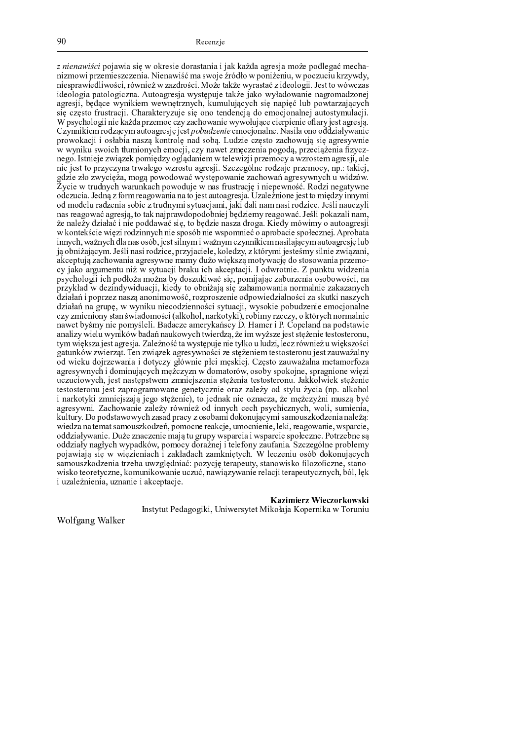Recenzie

µ ¶ · ¸ ¶ <sup>¹</sup> <sup>º</sup> · » <sup>¼</sup> · <sup>½</sup> <sup>¾</sup> ¿ <sup>À</sup> <sup>Á</sup> <sup>Â</sup> <sup>À</sup> <sup>Ã</sup> <sup>Â</sup> <sup>Ä</sup> <sup>Á</sup> <sup>¾</sup> <sup>Å</sup> <sup>Æ</sup> <sup>Ç</sup> <sup>Ã</sup> <sup>Â</sup> <sup>Ç</sup> <sup>È</sup> <sup>¾</sup> <sup>Æ</sup> <sup>À</sup> <sup>Ã</sup> <sup>É</sup> <sup>À</sup> <sup>Ê</sup> <sup>Â</sup> <sup>À</sup> <sup>Â</sup> ¿ <sup>À</sup> <sup>Å</sup> <sup>Å</sup> <sup>À</sup> <sup>Ë</sup> <sup>È</sup> <sup>À</sup> <sup>À</sup> <sup>Ì</sup> <sup>Æ</sup> <sup>Ç</sup> <sup>Ã</sup> ¿ <sup>À</sup> <sup>Í</sup> <sup>¾</sup> <sup>Ë</sup> <sup>Ç</sup> <sup>½</sup> <sup>¾</sup> <sup>È</sup> <sup>Î</sup> <sup>Ç</sup> <sup>Ì</sup> <sup>À</sup> <sup>Ï</sup> <sup>Í</sup> <sup>Ç</sup> <sup>Ð</sup> <sup>Ñ</sup> <sup>À</sup> <sup>Ò</sup> Ê <sup>Â</sup> <sup>Ó</sup> <sup>Í</sup> <sup>¾</sup> <sup>Á</sup> <sup>Â</sup> <sup>½</sup> <sup>Æ</sup> <sup>Ó</sup> <sup>Ç</sup> <sup>Í</sup> <sup>Â</sup> <sup>Ç</sup> <sup>Ã</sup> <sup>Ó</sup> <sup>Ð</sup> <sup>Ó</sup> <sup>Ç</sup> <sup>Ê</sup> <sup>Â</sup> <sup>À</sup> <sup>Ô</sup> <sup>Õ</sup> <sup>Â</sup> <sup>Ç</sup> <sup>Ê</sup> <sup>À</sup> <sup>Á</sup> <sup>Â</sup> <sup>Ö</sup> <sup>Ï</sup> <sup>Í</sup> <sup>À</sup> <sup>Ã</sup> <sup>Á</sup> <sup>¾</sup> ¿ <sup>Ç</sup> <sup>×</sup> <sup>Æ</sup> <sup>Ø</sup> <sup>È</sup> <sup>Ù</sup> <sup>¾</sup> <sup>Á</sup> <sup>½</sup> <sup>¾</sup> <sup>Ê</sup> <sup>Â</sup> <sup>Ë</sup> <sup>Ç</sup> <sup>Ê</sup> <sup>Â</sup> <sup>Ú</sup> <sup>Û</sup> <sup>Á</sup> <sup>½</sup> <sup>¾</sup> <sup>Ð</sup> <sup>Ó</sup> <sup>Ú</sup> <sup>Ð</sup> <sup>Â</sup> <sup>Ú</sup> <sup>Å</sup> <sup>Æ</sup> <sup>Ó</sup> <sup>Ü</sup> <sup>Á</sup> <sup>È</sup> <sup>Ü</sup> <sup>Û</sup> Ê LAGE LA LITINGAL LA KILIKA AT ILITARA AL ILIATA LA HALITA ALITA AL LA ANTALIA ALITA LA ILIA ILIATA A LAAALAALA 1901 ADAMA - A UTAARING 1919 ADAMULA TALETA JALLA 1919 ARTAINA 1907 ADAMAA AFAN A A ÆRAGIL LAANDAA TEEDILIKANA TEATRANGANGIKTAN. IETIM TITIOATAN JAA HAINTA ITIA INATIOEPIGATAATA à À A AASTA TROBULOU E RABILIARITIO ALA ARA FARAANALA AA AMAAJIAN DO LAM A LAGILIAN D  $W$  novelo logii nio legide nuzeme e exuze elevenie vyvye hieceo ejemienie efenujest ecuesie i Coordinate ana sa aceaa ao tra ao trada da ampendera e a fara ana ana ao ama ana ama ana ana amatanta ao ama ½ <sup>Æ</sup> <sup>¾</sup> <sup>Á</sup> <sup>¾</sup> <sup>Å</sup> <sup>À</sup> <sup>Ð</sup> ¿ <sup>Â</sup> <sup>Â</sup> <sup>¾</sup> <sup>Ã</sup> <sup>Ù</sup> <sup>À</sup> <sup>à</sup> <sup>Â</sup> <sup>À</sup> <sup>Ê</sup> <sup>À</sup> <sup>Ã</sup> <sup>Ó</sup> <sup>á</sup> <sup>Å</sup> <sup>¾</sup> <sup>Ê</sup> <sup>É</sup> <sup>Æ</sup> <sup>¾</sup> <sup>Î</sup> <sup>Ä</sup> <sup>Ê</sup> <sup>À</sup> <sup>È</sup> <sup>Ã</sup> <sup>¾</sup> <sup>à</sup> <sup>á</sup> <sup>Ô</sup> <sup>ë</sup> <sup>Ú</sup> <sup>È</sup> <sup>Ó</sup> <sup>Â</sup> <sup>Ç</sup> <sup>Ð</sup> <sup>Ó</sup> <sup>Ä</sup> <sup>Ã</sup> <sup>É</sup> <sup>¾</sup> <sup>Ó</sup> <sup>À</sup> <sup>Ð</sup> <sup>Ñ</sup> <sup>¾</sup> <sup>Á</sup> <sup>Ú</sup> ¿ <sup>á</sup> <sup>Ã</sup> <sup>Â</sup> <sup>Ä</sup> <sup>À</sup> <sup>Ì</sup> <sup>Æ</sup> <sup>Ç</sup> <sup>Ã</sup> <sup>Ü</sup> <sup>Á</sup> <sup>Ê</sup> <sup>Â</sup> <sup>Ç</sup> Á <sup>Á</sup> <sup>Ü</sup> <sup>Ê</sup> <sup>Â</sup> <sup>Å</sup> <sup>Ú</sup> <sup>Ã</sup> <sup>Á</sup> <sup>¾</sup> <sup>Â</sup> <sup>Ð</sup> <sup>Ñ</sup> <sup>É</sup> <sup>Ù</sup> <sup>Ú</sup> <sup>Í</sup> <sup>Â</sup> <sup>¾</sup> <sup>Ê</sup> <sup>Ü</sup> <sup>Ð</sup> <sup>Ñ</sup> <sup>Ç</sup> <sup>Í</sup> <sup>¾</sup> <sup>Ð</sup> ¿ <sup>Â</sup> <sup>Û</sup> <sup>Ð</sup> <sup>Ó</sup> <sup>Ü</sup> <sup>Ê</sup> <sup>À</sup> <sup>Á</sup> <sup>Ç</sup> <sup>É</sup> <sup>Ó</sup> <sup>Í</sup> <sup>Ä</sup> <sup>Ð</sup> <sup>Ó</sup> <sup>Ç</sup> <sup>Ê</sup> <sup>Â</sup> <sup>À</sup> <sup>½</sup> <sup>¾</sup> <sup>Ì</sup> <sup>¾</sup> <sup>È</sup> <sup>á</sup> <sup>Û</sup> <sup>½</sup> <sup>Æ</sup> <sup>Ó</sup> <sup>Ç</sup> <sup>Ð</sup> <sup>Â</sup> <sup>á</sup> <sup>Ë</sup> <sup>Ç</sup> <sup>Ê</sup> <sup>Â</sup> <sup>À</sup> <sup>å</sup> <sup>Ó</sup> <sup>Ü</sup> <sup>Ð</sup> <sup>Ó</sup> <sup>Ò</sup> Ë A Q O LITHA AN A THUIDTAILEANA LA ATH-A GILD A DEN ARALIT E LA MATAMA A A LI A HITHA GEARA A GERAGH LA L Ê Î A Î LACE EA PRESIDENTA Ê ERIYA KAGA INIERACETT A GRACIL IN ELAE AG ALIA NA AEAIA PAREAPA A 1. EN Î Î Î ALI gdzie zło zwycięza, mogą powodowac występowanie zachowan agresywnych u widzow TAIA 111 PRI ABITAR 1110 PILALE BANTANILA DI LAGE PRI GERALA I BIABATTAAA I LANTI BAGATTERIB ¾ <sup>È</sup> <sup>Ð</sup> <sup>Ó</sup> <sup>Ú</sup> <sup>Ð</sup> <sup>Â</sup> <sup>À</sup> <sup>Ô</sup> <sup>Þ</sup> <sup>Ç</sup> <sup>È</sup> <sup>Ê</sup> <sup>á</sup> <sup>Ó</sup> <sup>â</sup> <sup>¾</sup> <sup>Æ</sup> <sup>Í</sup> <sup>Æ</sup> <sup>Ç</sup> <sup>À</sup> <sup>Ì</sup> <sup>¾</sup> <sup>Á</sup> <sup>À</sup> <sup>Ê</sup> <sup>Â</sup> <sup>À</sup> <sup>Ê</sup> <sup>À</sup> <sup>É</sup> <sup>¾</sup> ¿ <sup>Ç</sup> <sup>Ã</sup> <sup>É</sup> <sup>À</sup> <sup>Ú</sup> <sup>É</sup> <sup>¾</sup> <sup>À</sup> <sup>Ì</sup> <sup>Æ</sup> <sup>Ç</sup> <sup>Ã</sup> ¿ <sup>À</sup> <sup>Ô</sup> <sup>ò</sup> <sup>Ó</sup> <sup>À</sup> <sup>Î</sup> <sup>Ç</sup> <sup>Ë</sup> <sup>Ê</sup> <sup>Â</sup> <sup>¾</sup> <sup>Ê</sup> <sup>Ç</sup> ¿ <sup>Ç</sup> <sup>Ã</sup> <sup>É</sup> <sup>É</sup> <sup>¾</sup> <sup>Í</sup> <sup>Â</sup> <sup>Ä</sup> <sup>È</sup> <sup>Ó</sup> <sup>Ü</sup> <sup>Â</sup> <sup>Ê</sup> <sup>Ê</sup> <sup>Ü</sup> <sup>Í</sup> <sup>Â</sup>  $\alpha$  a marado vecessario creira e trondromo coto mai tribulario mama macientale creira de lacio mao coedi Ê <sup>À</sup> <sup>Ã</sup> <sup>Æ</sup> <sup>Ç</sup> <sup>À</sup> <sup>Ì</sup> <sup>¾</sup> <sup>Á</sup> <sup>À</sup> <sup>Ï</sup> <sup>À</sup> <sup>Ì</sup> <sup>Æ</sup> <sup>Ç</sup> <sup>Ã</sup> ¿ <sup>á</sup> <sup>Û</sup> <sup>É</sup> <sup>¾</sup> <sup>É</sup> <sup>À</sup> <sup>Å</sup> <sup>Ê</sup> <sup>À</sup> ¿ <sup>½</sup> <sup>Æ</sup> <sup>À</sup> <sup>Á</sup> <sup>È</sup> <sup>¾</sup> <sup>½</sup> <sup>¾</sup> <sup>È</sup> <sup>¾</sup> <sup>à</sup> <sup>Ê</sup> <sup>Â</sup> <sup>Ç</sup> ¿ <sup>à</sup> <sup>Ä</sup> <sup>È</sup> <sup>Ó</sup> <sup>Â</sup> <sup>Ç</sup> <sup>Í</sup> <sup>Ü</sup> <sup>Æ</sup> <sup>Ç</sup> <sup>À</sup> <sup>Ì</sup> <sup>¾</sup> <sup>Á</sup> <sup>À</sup> <sup>Ï</sup> <sup>Ô</sup> <sup>Þ</sup> <sup>Ç</sup> <sup>Ö</sup> <sup>Î</sup> <sup>Â</sup> <sup>½</sup> <sup>¾</sup> <sup>Å</sup> <sup>À</sup> <sup>Ó</sup> <sup>À</sup> <sup>Î</sup> <sup>Â</sup> <sup>Ê</sup> <sup>À</sup> <sup>Í</sup> <sup>Û</sup> Ë A BALATI ATIA IAA I BIA BAANADIDA GIA. IA BAATIA BAGTA ABAGA – L'IAAI BAADIBATI A ADIAA GBAGI ₩ E AM±ALGAIA WIA⊐I ¥A A⊐IMMYAN MIA GMAGAN MIA WGMAMMIAA A AM¥ANA AIA GMAIAA⊐MAI . A M¥ANAF Â <sup>Ê</sup> <sup>Ê</sup> <sup>Ü</sup> <sup>Ð</sup> <sup>Ñ</sup> <sup>Û</sup> <sup>Á</sup> <sup>À</sup> <sup>Ë</sup> <sup>Ê</sup> <sup>Ü</sup> <sup>Ð</sup> <sup>Ñ</sup> <sup>È</sup> <sup>Î</sup> <sup>À</sup> <sup>Ê</sup> <sup>À</sup> <sup>Ã</sup> <sup>¾</sup> <sup>Ã</sup> <sup>Ø</sup> <sup>à</sup> <sup>Û</sup> ¿ <sup>Ç</sup> <sup>Ã</sup> <sup>É</sup> <sup>Ã</sup> <sup>Â</sup> <sup>Î</sup> <sup>Ê</sup> <sup>Ü</sup> <sup>Í</sup> <sup>Â</sup> <sup>Á</sup> <sup>À</sup> <sup>Ë</sup> <sup>Ê</sup> <sup>Ü</sup> <sup>Í</sup> <sup>Ð</sup> <sup>Ó</sup> <sup>Ü</sup> <sup>Ê</sup> <sup>Ê</sup> <sup>Â</sup> <sup>Å</sup> <sup>Â</sup> <sup>Ç</sup> <sup>Í</sup> <sup>Ê</sup> <sup>À</sup> <sup>Ã</sup> <sup>Â</sup> <sup>Î</sup> <sup>À</sup> ¿ <sup>á</sup> <sup>Ð</sup> <sup>Ü</sup> <sup>Í</sup> <sup>À</sup> <sup>Ú</sup> <sup>É</sup> <sup>¾</sup> <sup>À</sup> <sup>Ì</sup> <sup>Æ</sup> <sup>Ç</sup> <sup>Ã</sup> ¿ <sup>Ä</sup> <sup>Î</sup> <sup>Ú</sup> <sup>à</sup> ¿ <sup>á</sup> <sup>¾</sup> <sup>à</sup> <sup>Ê</sup> <sup>Â</sup> <sup>Ë</sup> <sup>À</sup> ¿ <sup>á</sup> <sup>Ð</sup> <sup>Ü</sup> <sup>Í</sup> <sup>Ô</sup> <sup>Þ</sup> <sup>Ç</sup> <sup>Ö</sup> <sup>Î</sup> <sup>Â</sup> <sup>Ê</sup> <sup>À</sup> <sup>Ã</sup> <sup>Â</sup> <sup>Æ</sup> <sup>¾</sup> <sup>È</sup> <sup>Ó</sup> <sup>Â</sup> <sup>Ð</sup> <sup>Ç</sup> <sup>Û</sup> <sup>½</sup> <sup>Æ</sup> <sup>Ó</sup> <sup>Ü</sup> ¿ <sup>À</sup> <sup>Ð</sup> <sup>Â</sup> <sup>Ç</sup> <sup>Î</sup> <sup>Ç</sup> <sup>Û</sup> <sup>Å</sup> <sup>¾</sup> <sup>Î</sup> <sup>Ç</sup> <sup>È</sup> <sup>Ó</sup> <sup>Ü</sup> <sup>Û</sup> <sup>Ó</sup> <sup>Å</sup> <sup>É</sup> <sup>Ø</sup> <sup>Æ</sup> <sup>Ü</sup> <sup>Í</sup> <sup>Â</sup> ¿ <sup>Ç</sup> <sup>Ã</sup> <sup>É</sup> <sup>Ç</sup> <sup>Ö</sup> <sup>Í</sup> <sup>Ü</sup> <sup>Ã</sup> <sup>Â</sup> <sup>Î</sup> <sup>Ê</sup> <sup>Â</sup> <sup>Ç</sup> <sup>Ó</sup> <sup>Á</sup> <sup>Â</sup> <sup>á</sup> <sup>Ó</sup> <sup>À</sup> <sup>Ê</sup> <sup>Â</sup> <sup>Û</sup> À <sup>Å</sup> <sup>Ð</sup> <sup>Ç</sup> <sup>½</sup> <sup>É</sup> <sup>Ú</sup> ¿ <sup>á</sup> <sup>Ó</sup> <sup>À</sup> <sup>Ð</sup> <sup>Ñ</sup> <sup>¾</sup> <sup>Á</sup> <sup>À</sup> <sup>Ê</sup> <sup>Â</sup> <sup>À</sup> <sup>À</sup> <sup>Ì</sup> <sup>Æ</sup> <sup>Ç</sup> <sup>Ã</sup> <sup>Ü</sup> <sup>Á</sup> <sup>Ê</sup> <sup>Ç</sup> <sup>Í</sup> <sup>À</sup> <sup>Í</sup> <sup>Ü</sup> <sup>È</sup> <sup>Ú</sup> <sup>Ë</sup> <sup>¾</sup> <sup>Á</sup> <sup>Â</sup> <sup>Ä</sup> <sup>Å</sup> <sup>Ã</sup> <sup>Ó</sup> <sup>á</sup> <sup>Í</sup> <sup>¾</sup> <sup>É</sup> <sup>Ü</sup> <sup>Á</sup> <sup>À</sup> <sup>Ð</sup> ¿ <sup>Ä</sup> <sup>È</sup> <sup>¾</sup> <sup>Ã</sup> <sup>É</sup> <sup>¾</sup> <sup>Ã</sup> <sup>¾</sup> <sup>Á</sup> <sup>À</sup> <sup>Ê</sup> <sup>Â</sup> <sup>À</sup> <sup>½</sup> <sup>Æ</sup> <sup>Ó</sup> <sup>Ç</sup> <sup>Í</sup> <sup>¾</sup> <sup>Ò</sup> O U IOILA OKA WAARD HIT II GEBOOD KWAILI IAN AILAARDAH. I AADURAHA A LAMIN'I IYUATARI ½ <sup>Ã</sup> <sup>Ü</sup> <sup>Ð</sup> <sup>Ñ</sup> <sup>¾</sup> <sup>Î</sup> <sup>¾</sup> <sup>Ì</sup> <sup>Â</sup> <sup>Â</sup> <sup>Â</sup> <sup>Ð</sup> <sup>Ñ</sup> <sup>½</sup> <sup>¾</sup> <sup>È</sup> <sup>Ù</sup> <sup>¾</sup> <sup>Ë</sup> <sup>À</sup> <sup>Í</sup> <sup>¾</sup> <sup>Ë</sup> <sup>Ê</sup> <sup>À</sup> <sup>à</sup> <sup>Ü</sup> <sup>È</sup> <sup>¾</sup> <sup>Ã</sup> <sup>Ó</sup> <sup>Ú</sup> <sup>Å</sup> <sup>Â</sup> <sup>Á</sup> <sup>À</sup> <sup>Ï</sup> <sup>Ã</sup> <sup>Â</sup> <sup>Ä</sup> <sup>Û</sup> <sup>½</sup> <sup>¾</sup> <sup>Í</sup> <sup>Â</sup> ¿ <sup>À</sup> ¿ <sup>á</sup> <sup>Ð</sup> <sup>Ó</sup> <sup>À</sup> <sup>à</sup> <sup>Ú</sup> <sup>Æ</sup> <sup>Ó</sup> <sup>Ç</sup> <sup>Ê</sup> <sup>Â</sup> <sup>À</sup> <sup>¾</sup> <sup>Ã</sup> <sup>¾</sup> <sup>à</sup> <sup>¾</sup> <sup>Á</sup> <sup>¾</sup> <sup>Ö</sup> <sup>Ð</sup> <sup>Â</sup> <sup>Û</sup> <sup>Ê</sup> <sup>À</sup> ½ <sup>Æ</sup> <sup>Ó</sup> <sup>Ü</sup> <sup>Å</sup> <sup>Ù</sup> <sup>À</sup> <sup>È</sup> <sup>Á</sup> <sup>È</sup> <sup>Ç</sup> <sup>Ó</sup> <sup>Â</sup> <sup>Ê</sup> <sup>È</sup> <sup>Ü</sup> <sup>Á</sup> <sup>Â</sup> <sup>È</sup> <sup>Ú</sup> <sup>À</sup> <sup>Ð</sup> ¿ <sup>Â</sup> <sup>Û</sup> <sup>Å</sup> <sup>Â</sup> <sup>Ç</sup> <sup>È</sup> <sup>Ü</sup> <sup>É</sup> <sup>¾</sup> <sup>¾</sup> <sup>à</sup> <sup>Ê</sup> <sup>Â</sup> <sup>Ë</sup> <sup>À</sup> ¿ <sup>á</sup> <sup>Ã</sup> <sup>Â</sup> <sup>Ä</sup> <sup>Ó</sup> <sup>À</sup> <sup>Ñ</sup> <sup>À</sup> <sup>Í</sup> <sup>¾</sup> <sup>Á</sup> <sup>À</sup> <sup>Ê</sup> <sup>Â</sup> <sup>À</sup> <sup>Ê</sup> <sup>¾</sup> <sup>Æ</sup> <sup>Í</sup> <sup>À</sup> <sup>Î</sup> <sup>Ê</sup> <sup>Â</sup> <sup>Ç</sup> <sup>Ó</sup> <sup>À</sup> <sup>Å</sup> <sup>À</sup> <sup>Ó</sup> <sup>À</sup> <sup>Ê</sup> <sup>Ü</sup> <sup>Ð</sup> <sup>Ñ</sup> È <sup>Ó</sup> <sup>Â</sup> <sup>À</sup> <sup>Ù</sup> <sup>À</sup> <sup>ï</sup> <sup>Â</sup> <sup>½</sup> <sup>¾</sup> <sup>½</sup> <sup>Æ</sup> <sup>Ó</sup> <sup>Ç</sup> <sup>Ó</sup> <sup>Ê</sup> <sup>À</sup> <sup>Ã</sup> <sup>Ó</sup> <sup>á</sup> <sup>À</sup> <sup>Ê</sup> <sup>¾</sup> <sup>Ê</sup> <sup>Â</sup> <sup>Í</sup> <sup>¾</sup> <sup>Á</sup> <sup>¾</sup> <sup>Ö</sup> <sup>Ï</sup> <sup>Û</sup> <sup>Æ</sup> <sup>¾</sup> <sup>Ó</sup> <sup>½</sup> <sup>Æ</sup> <sup>¾</sup> <sup>Ã</sup> <sup>Ó</sup> <sup>Ç</sup> <sup>Ê</sup> <sup>Â</sup> <sup>Ç</sup> <sup>¾</sup> <sup>È</sup> <sup>½</sup> <sup>¾</sup> <sup>Á</sup> <sup>Â</sup> <sup>Ç</sup> <sup>È</sup> <sup>Ó</sup> <sup>Â</sup> <sup>À</sup> <sup>Î</sup> <sup>Ê</sup> <sup>¾</sup> <sup>Ö</sup> <sup>Ð</sup> <sup>Â</sup> <sup>Ó</sup> <sup>À</sup> <sup>Ã</sup> <sup>Å</sup> <sup>Ú</sup> <sup>É</sup> <sup>Å</sup> <sup>Â</sup> <sup>Ê</sup> <sup>À</sup> <sup>Ã</sup> <sup>Ó</sup> <sup>Ü</sup> <sup>Ð</sup> <sup>Ñ</sup> À È Ò ÌO À ÑO À L'HA ILITIN ILITIN A LAGANTIAN AGAI ATTIGAN. TITANA NA BIATANA ANA A ANA HA Ð <sup>Ó</sup> <sup>Ü</sup> <sup>Ó</sup> <sup>Í</sup> <sup>Â</sup> <sup>Ç</sup> <sup>Ê</sup> <sup>Â</sup> <sup>¾</sup> <sup>Ê</sup> <sup>Ü</sup> <sup>Ã</sup> <sup>É</sup> <sup>À</sup> <sup>Ê</sup> <sup>Ö</sup> <sup>Á</sup> <sup>Â</sup> <sup>À</sup> <sup>È</sup> <sup>¾</sup> <sup>Í</sup> <sup>¾</sup> <sup>Ö</sup> <sup>Ð</sup> <sup>Â</sup> <sup>õ</sup> <sup>À</sup> <sup>Î</sup> <sup>Å</sup> <sup>¾</sup> <sup>Ñ</sup> <sup>¾</sup> <sup>Î</sup> <sup>Û</sup> <sup>Ê</sup> <sup>À</sup> <sup>Æ</sup> <sup>Å</sup> <sup>¾</sup> <sup>É</sup> <sup>Ü</sup> <sup>Å</sup> <sup>Â</sup> <sup>ö</sup> <sup>Û</sup> <sup>Æ</sup> <sup>¾</sup> <sup>à</sup> <sup>Â</sup> <sup>Í</sup> <sup>Ü</sup> <sup>Æ</sup> <sup>Ó</sup> <sup>Ç</sup> <sup>Ð</sup> <sup>Ó</sup> <sup>Ü</sup> <sup>Û</sup> <sup>¾</sup> <sup>Å</sup> <sup>É</sup> <sup>Ø</sup> <sup>Æ</sup> <sup>Ü</sup> <sup>Ð</sup> <sup>Ñ</sup> <sup>Ê</sup> <sup>¾</sup> <sup>Æ</sup> <sup>Í</sup> <sup>À</sup> <sup>Î</sup> <sup>Ê</sup> <sup>Â</sup> <sup>Ç</sup> Ë A A LOI Ë LA LOI LA CHA LA MATA A LA LOI DATA LA LA LOI A LA LOI LA LOI LA LOI LA LOI LA LOI LA LOI LA LOI L À <sup>Ê</sup> <sup>À</sup> <sup>Î</sup> <sup>Â</sup> <sup>Ó</sup> <sup>Ü</sup> <sup>Á</sup> <sup>Â</sup> <sup>Ç</sup> <sup>Î</sup> <sup>Ú</sup> <sup>Á</sup> <sup>Ü</sup> <sup>Ê</sup> <sup>Â</sup> <sup>Å</sup> <sup>Ø</sup> <sup>Á</sup> <sup>à</sup> <sup>À</sup> <sup>È</sup> <sup>À</sup> <sup>ï</sup> <sup>Ê</sup> <sup>À</sup> <sup>Ú</sup> <sup>Å</sup> <sup>¾</sup> <sup>Á</sup> <sup>Ü</sup> <sup>Ð</sup> <sup>Ñ</sup> <sup>É</sup> <sup>Á</sup> <sup>Â</sup> <sup>Ç</sup> <sup>Æ</sup> <sup>È</sup> <sup>Ó</sup> <sup>á</sup> <sup>Û</sup> <sup>Ë</sup> <sup>Ç</sup> <sup>Â</sup> <sup>Í</sup> <sup>Á</sup> <sup>Ü</sup> <sup>Ë</sup> <sup>Ã</sup> <sup>Ó</sup> <sup>Ç</sup> ¿ <sup>Ç</sup> <sup>Ã</sup> <sup>É</sup> <sup>Ã</sup> <sup>É</sup> <sup>Ä</sup> <sup>Ë</sup> <sup>Ç</sup> <sup>Ê</sup> <sup>Â</sup> <sup>Ç</sup> <sup>É</sup> <sup>Ç</sup> <sup>Ã</sup> <sup>É</sup> <sup>¾</sup> <sup>Ã</sup> <sup>É</sup> <sup>Ç</sup> <sup>Æ</sup> <sup>¾</sup> <sup>Ê</sup> <sup>Ú</sup> <sup>Û</sup> É <sup>Ü</sup> <sup>Í</sup> <sup>Á</sup> <sup>Â</sup> <sup>Ä</sup> <sup>Å</sup> <sup>Ã</sup> <sup>Ó</sup> <sup>À</sup> ¿ <sup>Ç</sup> <sup>Ã</sup> <sup>É</sup> <sup>À</sup> <sup>Ì</sup> <sup>Æ</sup> <sup>Ç</sup> <sup>Ã</sup> ¿ <sup>À</sup> <sup>Ô</sup> <sup>ô</sup> <sup>À</sup> <sup>Î</sup> <sup>Ç</sup> <sup>Ë</sup> <sup>Ê</sup> <sup>¾</sup> <sup>Ö</sup> <sup>Ï</sup> <sup>É</sup> <sup>À</sup> <sup>Á</sup> <sup>Ü</sup> <sup>Ã</sup> <sup>É</sup> <sup>Ä</sup> <sup>½</sup> <sup>Ú</sup> ¿ <sup>Ç</sup> <sup>Ê</sup> <sup>Â</sup> <sup>Ç</sup> <sup>É</sup> <sup>Ü</sup> <sup>Î</sup> <sup>Å</sup> <sup>¾</sup> <sup>Ú</sup> <sup>Î</sup> <sup>Ú</sup> <sup>È</sup> <sup>Ó</sup> <sup>Â</sup> <sup>Û</sup> <sup>Î</sup> <sup>Ç</sup> <sup>Ð</sup> <sup>Ó</sup> <sup>Æ</sup> <sup>Ø</sup> <sup>Á</sup> <sup>Ê</sup> <sup>Â</sup> <sup>Ç</sup> <sup>Ë</sup> <sup>Ú</sup> <sup>Á</sup> <sup>Â</sup> <sup>Ä</sup> <sup>Å</sup> <sup>Ã</sup> <sup>Ó</sup> <sup>¾</sup> <sup>Ö</sup> <sup>Ð</sup> <sup>Â</sup> Ì À É Ú LA LA LA FILITATIVE LA VALITATIVE ALLEANT ALLEANT ANNO 1970 ANNO 1970 ANNO 1970 ANNO 1970 ANNO 1970 AN A A 1311 ÀILL AOIRTAILLE À AOILLEIL AIGHNAICHAIG AIG 1940 ÀILLEAILLEACH A THUILLEAIR AN AIGHADH AR A À <sup>Ì</sup> <sup>Æ</sup> <sup>Ç</sup> <sup>Ã</sup> <sup>Ü</sup> <sup>Á</sup> <sup>Ê</sup> <sup>Ü</sup> <sup>Ð</sup> <sup>Ñ</sup> <sup>Â</sup> <sup>È</sup> <sup>¾</sup> <sup>Í</sup> <sup>Â</sup> <sup>Ê</sup> <sup>Ú</sup> ¿ <sup>á</sup> <sup>Ð</sup> <sup>Ü</sup> <sup>Ð</sup> <sup>Ñ</sup> <sup>Í</sup> <sup>Ä</sup> <sup>Ë</sup> <sup>Ð</sup> <sup>Ó</sup> <sup>Ü</sup> <sup>Ó</sup> <sup>Ê</sup> <sup>Á</sup> <sup>È</sup> <sup>¾</sup> <sup>Í</sup> <sup>À</sup> <sup>É</sup> <sup>¾</sup> <sup>Æ</sup> <sup>Ø</sup> <sup>Á</sup> <sup>Û</sup> <sup>¾</sup> <sup>Ã</sup> <sup>¾</sup> <sup>à</sup> <sup>Ü</sup> <sup>Ã</sup> <sup>½</sup> <sup>¾</sup> <sup>Å</sup> <sup>¾</sup> ¿ <sup>Ê</sup> <sup>Ç</sup> <sup>Û</sup> <sup>Ã</sup> <sup>½</sup> <sup>Æ</sup> <sup>À</sup> <sup>Ì</sup> <sup>Ê</sup> <sup>Â</sup> <sup>¾</sup> <sup>Ê</sup> <sup>Ç</sup> <sup>Á</sup> <sup>Â</sup> <sup>Ä</sup> <sup>Ó</sup> <sup>Â</sup> Ú <sup>Ð</sup> <sup>Ó</sup> <sup>Ú</sup> <sup>Ð</sup> <sup>Â</sup> <sup>¾</sup> <sup>Á</sup> <sup>Ü</sup> <sup>Ð</sup> <sup>Ñ</sup> <sup>Û</sup> ¿ <sup>Ç</sup> <sup>Ã</sup> <sup>É</sup> <sup>Ê</sup> <sup>À</sup> <sup>Ã</sup> <sup>É</sup> <sup>Ä</sup> <sup>½</sup> <sup>Ã</sup> <sup>É</sup> <sup>Á</sup> <sup>Ç</sup> <sup>Í</sup> <sup>Ó</sup> <sup>Í</sup> <sup>Ê</sup> <sup>Â</sup> <sup>Ç</sup> ¿ <sup>Ã</sup> <sup>Ó</sup> <sup>Ç</sup> <sup>Ê</sup> <sup>Â</sup> <sup>À</sup> <sup>Ã</sup> <sup>É</sup> <sup>Ä</sup> <sup>Ë</sup> <sup>Ç</sup> <sup>Ê</sup> <sup>Â</sup> <sup>À</sup> <sup>É</sup> <sup>Ç</sup> <sup>Ã</sup> <sup>É</sup> <sup>¾</sup> <sup>Ã</sup> <sup>É</sup> <sup>Ç</sup> <sup>Æ</sup> <sup>¾</sup> <sup>Ê</sup> <sup>Ú</sup> <sup>Ô</sup> <sup>Þ</sup> <sup>À</sup> <sup>Å</sup> <sup>Å</sup> <sup>¾</sup> <sup>Î</sup> <sup>Á</sup> <sup>Â</sup> <sup>Ç</sup> <sup>Å</sup> <sup>Ã</sup> <sup>É</sup> <sup>Ä</sup> <sup>Ë</sup> <sup>Ç</sup> <sup>Ê</sup> <sup>Â</sup> <sup>Ç</sup> É AUTA E QUANTI INUT FURBINIERING ATHEIRI ILIMINTI ELEBIA ANUF FULLATI AN ITTILI FILLILLI INDI ALIENBA A AANIZATILI FIANJALAJARAJA JAGA GEARANJAJ IA JANNAIZ MJA AFINAARA FIA IMARAFITINI IMAJARA INJ À IERANISTISTIN LA INTERNATIONAL ERITAETI SANTINIAET AR INNIVAR AAN BLANTININIAETAR SITAN TIINIL ANISAIANNIA Å <sup>Ú</sup> <sup>Î</sup> <sup>É</sup> <sup>Ú</sup> <sup>Æ</sup> <sup>Ü</sup> <sup>Ô</sup> <sup>ø</sup> <sup>¾</sup> <sup>½</sup> <sup>¾</sup> <sup>È</sup> <sup>Ã</sup> <sup>É</sup> <sup>À</sup> <sup>Á</sup> <sup>¾</sup> <sup>Á</sup> <sup>Ü</sup> <sup>Ð</sup> <sup>Ñ</sup> <sup>Ó</sup> <sup>À</sup> <sup>Ã</sup> <sup>À</sup> <sup>È</sup> <sup>½</sup> <sup>Æ</sup> <sup>À</sup> <sup>Ð</sup> <sup>Ü</sup> <sup>Ó</sup> <sup>¾</sup> <sup>Ã</sup> <sup>¾</sup> <sup>à</sup> <sup>À</sup> <sup>Í</sup> <sup>Â</sup> <sup>È</sup> <sup>¾</sup> <sup>Å</sup> <sup>¾</sup> <sup>Ê</sup> <sup>Ú</sup> ¿ <sup>á</sup> <sup>Ð</sup> <sup>Ü</sup> <sup>Í</sup> <sup>Â</sup> <sup>Ã</sup> <sup>À</sup> <sup>Í</sup> <sup>¾</sup> <sup>Ú</sup> <sup>Ã</sup> <sup>Ó</sup> <sup>Å</sup> <sup>¾</sup> <sup>È</sup> <sup>Ó</sup> <sup>Ç</sup> <sup>Ê</sup> <sup>Â</sup> <sup>À</sup> <sup>Ê</sup> <sup>À</sup> <sup>Î</sup> <sup>Ç</sup> <sup>Ë</sup> <sup>á</sup> <sup>î</sup> Á <sup>Â</sup> <sup>Ç</sup> <sup>È</sup> <sup>Ó</sup> <sup>À</sup> <sup>Ê</sup> <sup>À</sup> <sup>É</sup> <sup>Ç</sup> <sup>Í</sup> <sup>À</sup> <sup>É</sup> <sup>Ã</sup> <sup>À</sup> <sup>Í</sup> <sup>¾</sup> <sup>Ú</sup> <sup>Ã</sup> <sup>Ó</sup> <sup>Å</sup> <sup>¾</sup> <sup>È</sup> <sup>Ó</sup> <sup>Ç</sup> <sup>ï</sup> <sup>Û</sup> <sup>½</sup> <sup>¾</sup> <sup>Í</sup> <sup>¾</sup> <sup>Ð</sup> <sup>Ê</sup> <sup>Ç</sup> <sup>Æ</sup> <sup>Ç</sup> <sup>À</sup> <sup>Å</sup> <sup>Ð</sup> ¿ <sup>Ç</sup> <sup>Û</sup> <sup>Ú</sup> <sup>Í</sup> <sup>¾</sup> <sup>Ð</sup> <sup>Ê</sup> <sup>Â</sup> <sup>Ç</sup> <sup>Ê</sup> <sup>Â</sup> <sup>Ç</sup> <sup>Û</sup> <sup>Î</sup> <sup>Ç</sup> <sup>Å</sup> <sup>Â</sup> <sup>Û</sup> <sup>Æ</sup> <sup>Ç</sup> <sup>À</sup> <sup>Ì</sup> <sup>¾</sup> <sup>Á</sup> <sup>À</sup> <sup>Ê</sup> <sup>Â</sup> <sup>Ç</sup> <sup>Û</sup> <sup>Á</sup> <sup>Ã</sup> <sup>½</sup> <sup>À</sup> <sup>Æ</sup> <sup>Ð</sup> <sup>Â</sup> <sup>Ç</sup> <sup>Û</sup> ¾ <sup>È</sup> <sup>È</sup> <sup>Ó</sup> <sup>Â</sup> <sup>À</sup> <sup>Ù</sup> <sup>Ü</sup> <sup>Á</sup> <sup>À</sup> <sup>Ê</sup> <sup>Â</sup> <sup>Ç</sup> <sup>Ô</sup> <sup>ø</sup> <sup>Ú</sup> <sup>Ë</sup> <sup>Ç</sup> <sup>Ó</sup> <sup>Ê</sup> <sup>À</sup> <sup>Ð</sup> <sup>Ó</sup> <sup>Ç</sup> <sup>Ê</sup> <sup>Â</sup> <sup>Ç</sup> <sup>Í</sup> <sup>À</sup> ¿ <sup>á</sup> <sup>É</sup> <sup>Ú</sup> <sup>Ì</sup> <sup>Æ</sup> <sup>Ú</sup> <sup>½</sup> <sup>Ü</sup> <sup>Á</sup> <sup>Ã</sup> <sup>½</sup> <sup>À</sup> <sup>Æ</sup> <sup>Ð</sup> <sup>Â</sup> <sup>À</sup> <sup>Â</sup> <sup>Á</sup> <sup>Ã</sup> <sup>½</sup> <sup>À</sup> <sup>Æ</sup> <sup>Ð</sup> <sup>Â</sup> <sup>Ç</sup> <sup>Ã</sup> <sup>½</sup> <sup>¾</sup> <sup>Ù</sup> <sup>Ç</sup> <sup>Ð</sup> <sup>Ó</sup> <sup>Ê</sup> <sup>Ç</sup> <sup>Ô</sup> <sup>ú</sup> <sup>¾</sup> <sup>É</sup> <sup>Æ</sup> <sup>Ó</sup> <sup>Ç</sup> <sup>à</sup> <sup>Ê</sup> <sup>Ç</sup> <sup>Ã</sup> <sup>á</sup>  $\alpha$  a curti de value el lia de la dia de value de value de la value de la formale el mel value de recentation de value de la val  $\mathbf{a}$ ie $\mathbf{a}$ ie a $\mathbf{a}$   $\mathbf{b}$   $\mathbf{a}$   $\mathbf{b}$  and  $\mathbf{b}$  and  $\mathbf{a}$   $\mathbf{b}$  and  $\mathbf{b}$  and  $\mathbf{b}$  and  $\mathbf{b}$  and  $\mathbf{b}$  and  $\mathbf{b}$  and  $\mathbf{b}$  and  $\mathbf{c}$  and  $\mathbf{c}$  and  $\mathbf{c}$  and  $\mathbf{c}$ Ã <sup>À</sup> <sup>Í</sup> <sup>¾</sup> <sup>Ú</sup> <sup>Ã</sup> <sup>Ó</sup> <sup>Å</sup> <sup>¾</sup> <sup>È</sup> <sup>Ó</sup> <sup>Ç</sup> <sup>Ê</sup> <sup>Â</sup> <sup>À</sup> <sup>É</sup> <sup>Æ</sup> <sup>Ó</sup> <sup>Ç</sup> <sup>à</sup> <sup>À</sup> <sup>Ú</sup> <sup>Á</sup> <sup>Ó</sup> <sup>Ì</sup> <sup>Î</sup> <sup>Ä</sup> <sup>È</sup> <sup>Ê</sup> <sup>Â</sup> <sup>À</sup> <sup>Ï</sup> <sup>î</sup> <sup>½</sup> <sup>¾</sup> <sup>Ó</sup> <sup>Ü</sup> <sup>Ð</sup> ¿ <sup>Ä</sup> <sup>É</sup> <sup>Ç</sup> <sup>Æ</sup> <sup>À</sup> <sup>½</sup> <sup>Ç</sup> <sup>Ú</sup> <sup>É</sup> <sup>Ü</sup> <sup>Û</sup> <sup>Ã</sup> <sup>É</sup> <sup>À</sup> <sup>Ê</sup> <sup>¾</sup> <sup>Á</sup> <sup>Â</sup> <sup>Ã</sup> <sup>Å</sup> <sup>¾</sup> <sup>å</sup> <sup>Î</sup> <sup>¾</sup> <sup>Ó</sup> <sup>¾</sup> <sup>å</sup> <sup>Ð</sup> <sup>Ó</sup> <sup>Ê</sup> <sup>Ç</sup> <sup>Û</sup> <sup>Ã</sup> <sup>É</sup> <sup>À</sup> <sup>Ê</sup> <sup>¾</sup> <sup>Ò</sup> Á <sup>Â</sup> <sup>Ã</sup> <sup>Å</sup> <sup>¾</sup> <sup>É</sup> <sup>Ç</sup> <sup>¾</sup> <sup>Æ</sup> <sup>Ç</sup> <sup>É</sup> <sup>Ü</sup> <sup>Ð</sup> <sup>Ó</sup> <sup>Ê</sup> <sup>Ç</sup> <sup>Û</sup> <sup>Å</sup> <sup>¾</sup> <sup>Í</sup> <sup>Ú</sup> <sup>Ê</sup> <sup>Â</sup> <sup>Å</sup> <sup>¾</sup> <sup>Á</sup> <sup>À</sup> <sup>Ê</sup> <sup>Â</sup> <sup>Ç</sup> <sup>Ú</sup> <sup>Ð</sup> <sup>Ó</sup> <sup>Ú</sup> <sup>Ï</sup> <sup>Û</sup> <sup>Ê</sup> <sup>À</sup> <sup>Á</sup> <sup>Â</sup> <sup>á</sup> <sup>Ó</sup> <sup>Ü</sup> <sup>Á</sup> <sup>À</sup> <sup>Ê</sup> <sup>Â</sup> <sup>Ç</sup> <sup>Æ</sup> <sup>Ç</sup> <sup>Î</sup> <sup>À</sup> <sup>Ð</sup> ¿ <sup>Â</sup> <sup>É</sup> <sup>Ç</sup> <sup>Æ</sup> <sup>À</sup> <sup>½</sup> <sup>Ç</sup> <sup>Ú</sup> <sup>É</sup> <sup>Ü</sup> <sup>Ð</sup> <sup>Ó</sup> <sup>Ê</sup> <sup>Ü</sup> <sup>Ð</sup> <sup>Ñ</sup> <sup>Û</sup> <sup>à</sup> <sup>Ø</sup> <sup>Î</sup> <sup>Û</sup> <sup>Î</sup> <sup>Ä</sup> <sup>Å</sup> Â <sup>Ú</sup> <sup>Ó</sup> <sup>À</sup> <sup>Î</sup> <sup>Ç</sup> <sup>Ë</sup> <sup>Ê</sup> <sup>Â</sup> <sup>Ç</sup> <sup>Ê</sup> <sup>Â</sup> <sup>À</sup> <sup>Û</sup> <sup>Ú</sup> <sup>Ó</sup> <sup>Ê</sup> <sup>À</sup> <sup>Ê</sup> <sup>Â</sup> <sup>Ç</sup> <sup>Â</sup> <sup>À</sup> <sup>Å</sup> <sup>Ð</sup> <sup>Ç</sup> <sup>½</sup> <sup>É</sup> <sup>À</sup> <sup>Ð</sup> ¿ <sup>Ç</sup> <sup>Ô</sup>

#### ü <sup>ý</sup> <sup>þ</sup> <sup>ÿ</sup> <sup>ÿ</sup> - <sup>þ</sup> <sup>ÿ</sup> <sup>þ</sup> - <sup>ÿ</sup>

ì <sup>Ê</sup> <sup>Ã</sup> <sup>É</sup> <sup>Ü</sup> <sup>É</sup> <sup>Ú</sup> <sup>É</sup> <sup>ú</sup> <sup>Ç</sup> <sup>È</sup> <sup>À</sup> <sup>Ì</sup> <sup>¾</sup> <sup>Ì</sup> <sup>Â</sup> <sup>Å</sup> <sup>Â</sup> <sup>Û</sup> <sup>ò</sup> <sup>Ê</sup> <sup>Â</sup> <sup>Á</sup> <sup>Ç</sup> <sup>Æ</sup> <sup>Ã</sup> <sup>Ü</sup> <sup>É</sup> <sup>Ç</sup> <sup>É</sup> <sup>Ý</sup> <sup>Â</sup> <sup>Å</sup> <sup>¾</sup> <sup>Ù</sup> <sup>À</sup> ¿ <sup>À</sup> <sup>ó</sup> <sup>¾</sup> <sup>½</sup> <sup>Ç</sup> <sup>Æ</sup> <sup>Ê</sup> <sup>Â</sup> <sup>Å</sup> <sup>À</sup> <sup>Á</sup> <sup>û</sup> <sup>¾</sup> <sup>Æ</sup> <sup>Ú</sup> <sup>Ê</sup> <sup>Â</sup> <sup>Ú</sup>

\_\_\_\_\_\_\_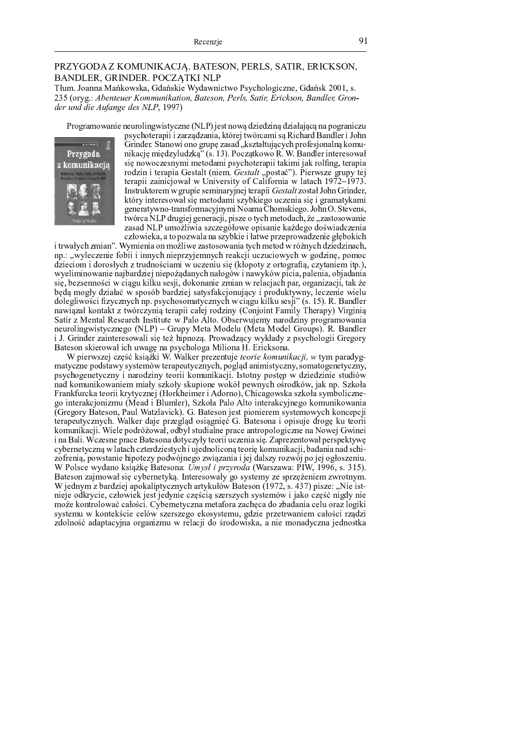## PRZYGODA Z KOMUNIKACJĄ. BATESON, PERLS, SATIR, ERICKSON, BANDLER, GRINDER. POCZĄTKI NLP

Tłum. Joanna Mańkowska, Gdańskie Wydawnictwo Psychologiczne, Gdańsk 2001, s. 235 (oryg.: Abenteuer Kommunikation, Bateson, Perls, Satir, Erickson, Bandler, Gronder und die Aufange des NLP, 1997)

<u>entacje</u>

Przygoda

Programowanie neurolingwistyczne (NLP) jest nową dziedziną działającą na pograniczu psychoterapii i zarządzania, której twórcami są Richard Bandler i John Grinder. Stanowi ono grupę zasad "kształtujących profesjonalną komunikację międzyludzką" (s. 13). Początkowo R. W. Bandler interesował się nowoczesnymi metodami psychoterapii takimi jak rolfing, terapia z komunikacja rodzin i terapia Gestalt (niem. Gestalt "postać"). Pierwsze grupy tej terapii zainicjował w University of California w latach 1972–1973. Instruktorem w grupie seminaryjnej terapii Gestalt został John Grinder, który interesował się metodami szybkiego uczenia się i gramatykami generatywno-transformacyjnymi Noama Chomskiego. John O. Stevens, twórca NLP drugiej generacji, pisze o tych metodach, że "zastosowanie zasad NLP umożliwia szczegółowe opisanie każdego doświadczenia człowieka, a to pozwala na szybkie i łatwe przeprowadzenie głębokich

i trwałych zmian". Wymienia on możliwe zastosowania tych metod w różnych dziedzinach, np.: "wyleczenie fobii i innych nieprzyjemnych reakcji uczuciowych w godzinę, pomoc dzieciom i dorosłych z trudnościami w uczeniu się (kłopoty z ortografią, czytaniem itp.), wyeliminowanie najbardziej niepożądanych nałogów i nawyków picia, palenia, objadania się, bezsenności w ciągu kilku sesji, dokonanie zmian w relacjach par, organizacji, tak że będą mogły działać w sposób bardziej satysfakcjonujący i produktywny, leczenie wielu dolegliwości fizycznych np. psychosomatycznych w ciągu kilku sesji" (s. 15). R. Bandler nawiązał kontakt z twórczynią terapii całej rodziny (Conjoint Family Therapy) Virginią Satir z Mental Research Institute w Palo Alto. Obserwujemy narodziny programowania neurolingwistycznego (NLP) - Grupy Meta Modelu (Meta Model Groups). R. Bandler i J. Grinder zainteresowali się też hipnozą. Prowadzący wykłady z psychologii Gregory Bateson skierował ich uwagę na psychologa Miliona H. Ericksona.

W pierwszej część książki W. Walker prezentuje *teorie komunikacji*, w tym paradygmatyczne podstawy systemów terapeutycznych, pogląd animistyczny, somatogenetyczny, psychogenetyczny i narodziny teorii komunikacji. Istotny postęp w dziedzinie studiów nad komunikowaniem miały szkoły skupione wokół pewnych ośrodków, jak np. Szkoła Frankfurcka teorii krytycznej (Horkheimer i Adorno), Chicagowska szkoła symbolicznego interakcjonizmu (Mead i Blumler), Szkoła Palo Alto interakcyjnego komunikowania (Gregory Bateson, Paul Watzlavick). G. Bateson jest pionierem systemowych koncepcji terapeutycznych. Walker daje przegląd osiągnięć G. Batesona i opisuje drogę ku teorii komunikacji. Wiele podróżował, odbył studialne prace antropologiczne na Nowej Gwinei i na Bali. Wczesne prace Batesona dotyczyły teorii uczenia się. Zaprezentował perspektywę cybernetyczną w latach czterdziestych i ujednoliconą teorię komunikacji, badania nad schizofrenia, powstanie hipotezy podwójnego związania i jej dalszy rozwój po jej ogłoszeniu. W Polsce wydano książkę Batesona: Umysł i przyroda (Warszawa: PIW, 1996, s. 315). Bateson zajmował się cybernetyką. Interesowały go systemy ze sprzężeniem zwrotnym. W jednym z bardziej apokaliptycznych artykułów Bateson (1972, s. 437) pisze: "Nie istnieje odkrycie, człowiek jest jedynie częścią szerszych systemów i jako część nigdy nie może kontrolować całości. Cybernetyczna metafora zachęca do zbadania celu oraz logiki systemu w kontekście celów szerszego ekosystemu, gdzie przetrwaniem całości rządzi zdolność adaptacyjna organizmu w relacji do środowiska, a nie monadyczna jednostka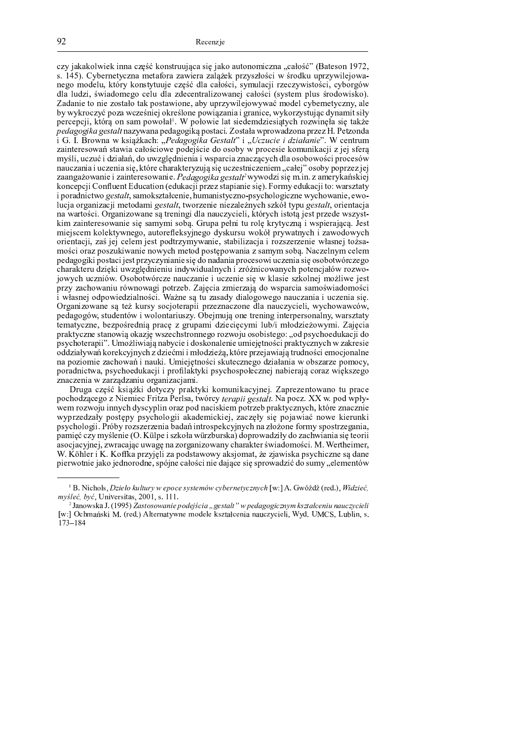czy jakakolwiek inna cześć konstruująca się jako autonomiczna "całość" (Bateson 1972, s. 145). Cybernetyczna metafora zawiera zalążek przyszłości w środku uprzywilejowanego modelu, który konstytuuje część dla całości, symulacji rzeczywistości, cyborgów dla ludzi, świadomego celu dla zdecentralizowanej całości (system plus środowisko). Zadanie to nie zostało tak postawione, aby uprzywilejowywać model cybernetyczny, ale by wykroczyć poza wcześniej określone powiązania i granice, wykorzystując dynamit siły percepcji, którą on sam powołał<sup>1</sup>. W połowie lat siedemdziesiątych rozwinęła się także pedagogika gestalt nazywana pedagogika postaci. Została wprowadzona przez H. Petzonda i G. I. Browna w książkach: "Pedagogika Gestalt" i "Uczucie i działanie". W centrum zainteresowań stawia całościowe podejście do osoby w procesie komunikacji z jej sfera myśli, uczuć i działań, do uwzględnienia i wsparcia znaczących dla osobowości procesów nauczania i uczenia się, które charakteryzują się uczestniczeniem "całej" osoby poprzez jej zaangażowanie i zainteresowanie. Pedagogika gestalt<sup>2</sup>wywodzi się m.in. z amerykańskiej koncepcji Confluent Education (edukacji przez stapianie się). Formy edukacji to: warsztaty i poradnictwo gestalt, samokształcenie, humanistyczno-psychologiczne wychowanie, ewolucja organizacji metodami gestalt, tworzenie niezależnych szkół typu gestalt, orientacja na wartości. Organizowane są treningi dla nauczycieli, których istotą jest przede wszystkim zainteresowanie się samymi sobą. Grupa pełni tu rolę krytyczną i wspierającą. Jest miejscem kolektywnego, autorefleksyjnego dyskursu wokół prywatnych i zawodowych orientacji, zaś jej celem jest podtrzymywanie, stabilizacja i rozszerzenie własnej tożsamości oraz poszukiwanie nowych metod postępowania z samym sobą. Naczelnym celem pedagogiki postaci jest przyczynianie się do nadania procesowi uczenia się osobotwórczego charakteru dzięki uwzględnieniu indywidualnych i zróżnicowanych potencjałów rozwojowych uczniów. Osobotwórcze nauczanie i uczenie się w klasie szkolnej możliwe jest przy zachowaniu równowagi potrzeb. Zajęcia zmierzają do wsparcia samoświadomości i własnej odpowiedzialności. Ważne są tu zasady dialogowego nauczania i uczenia się. Organizowane są też kursy socjoterapii przeznaczone dla nauczycieli, wychowawców, pedagogów, studentów i wolontariuszy. Obejmują one trening interpersonalny, warsztaty tematyczne, bezpośrednią pracę z grupami dziecięcymi lub/i młodzieżowymi. Zajęcia praktyczne stanowią okazję wszechstronnego rozwoju osobistego: "od psychoedukacji do psychoterapii". Umożliwiają nabycie i doskonalenie umiejętności praktycznych w zakresie oddziaływań korekcyjnych z dziećmi i młodzieżą, które przejawiają trudności emocjonalne na poziomie zachowań i nauki. Umiejętności skutecznego działania w obszarze pomocy, poradnictwa, psychoedukacji i profilaktyki psychospołecznej nabierają coraz większego znaczenia w zarządzaniu organizacjami.

Druga część książki dotyczy praktyki komunikacyjnej. Zaprezentowano tu prace pochodzącego z Niemiec Fritza Perlsa, twórcy terapii gestalt. Na pocz. XX w. pod wpływem rozwoju innych dyscyplin oraz pod naciskiem potrzeb praktycznych, które znacznie wyprzedzały postępy psychologii akademickiej, zaczęły się pojawiać nowe kierunki psychologii. Próby rozszerzenia badań introspekcyjnych na złożone formy spostrzegania, pamięć czy myślenie (O. Külpe i szkoła würzburska) doprowadziły do zachwiania się teorii asocjacyjnej, zwracając uwagę na zorganizowany charakter świadomości. M. Wertheimer, W. Köhler i K. Koffka przyjęli za podstawowy aksjomat, że zjawiska psychiczne są dane pierwotnie jako jednorodne, spójne całości nie dające się sprowadzić do sumy, elementów

<sup>&</sup>lt;sup>1</sup> B. Nichols, *Dzieło kultury w epoce systemów cybernetycznych* [w:] A. Gwóźdź (red.), *Widzieć*, *myśleć, być*, Universitas, 2001, s. 111.

<sup>&</sup>lt;sup>2</sup> Janowska J. (1995) Zastosowanie podejścia "gestałt" w pedagogicznym kształceniu nauczycieli [w:] Ochmański M. (red.) Alternatywne modele kształcenia nauczycieli, Wyd. UMCS, Lublin, s.  $173 - 184$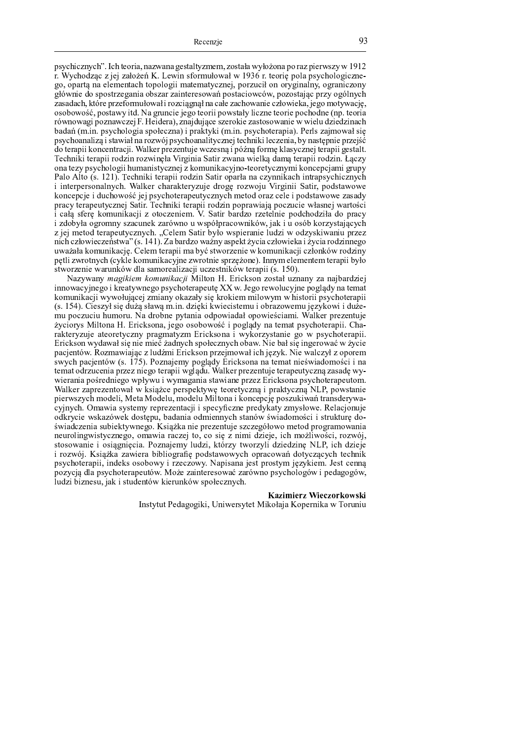psychicznych". Ich teoria, nazwana gestaltyzmem, została wyłożona po raz pierwszy w 1912 r. Wychodząc z jej założeń K. Lewin sformułował w 1936 r. teorię pola psychologicznego, opartą na elementach topologii matematycznej, porzucił on oryginalny, ograniczony głównie do spostrzegania obszar zainteresowań postaciowców, pozostając przy ogólnych zasadach, które przeformułował i rozciągnął na całe zachowanie człowieka, jego motywację, osobowość, postawy itd. Na gruncie jego teorii powstały liczne teorie pochodne (np. teoria równowagi poznawczej F. Heidera), znajdujące szerokie zastosowanie w wielu dziedzinach badań (m.in. psychologia społeczna) i praktyki (m.in. psychoterapia). Perls zajmował się psychoanaliza i stawiał na rozwój psychoanalitycznej techniki leczenia, by następnie przejść do terapii koncentracji. Walker prezentuje wczesną i późną formę klasycznej terapii gestalt.  $_{\rm Tachnilr}$  togenii nadzim nazwinala Vinainia Catin zwana wiallya dama togenii nadzim. Laaz ona tezy psychologii humanistycznej z komunikacyjno-teoretycznymi koncepcjami grupy  $\text{Table 11:}$   $\text{Area}$  (a  $\text{121}$ ). Tookedd tonond nodrin Cotin ononlo no arrumilyook integratediarum i interpersonalnych. Walker charakteryzuje drogę rozwoju Virginii Satir, podstawowe koncepcje i duchowość jej psychoterapeutycznych metod oraz cele i podstawowe zasady <sup>Z</sup> <sup>h</sup> <sup>i</sup> ] \ <sup>e</sup> <sup>f</sup> <sup>h</sup> <sup>i</sup> <sup>Z</sup> <sup>f</sup> <sup>|</sup> <sup>e</sup> \ ] ` <sup>a</sup> <sup>f</sup> <sup>w</sup> <sup>i</sup> <sup>e</sup> \_ <sup>h</sup> <sup>c</sup> <sup>f</sup> ] ^ <sup>a</sup> \_ \_ <sup>e</sup> <sup>f</sup> <sup>h</sup> <sup>i</sup> <sup>Z</sup> \_ \_ <sup>h</sup> <sup>g</sup> <sup>u</sup> ` \_ <sup>a</sup> <sup>Z</sup> <sup>g</sup> <sup>Z</sup> <sup>h</sup> <sup>i</sup> <sup>k</sup> \_ <sup>i</sup> <sup>w</sup> <sup>v</sup> <sup>Z</sup> <sup>g</sup> ] ` <sup>|</sup> ] \_ <sup>f</sup> <sup>k</sup> <sup>o</sup> <sup>i</sup> [ <sup>a</sup> <sup>f</sup> <sup>w</sup> <sup>k</sup> <sup>i</sup> <sup>h</sup> <sup>e</sup> <sup>g</sup> ] \_ i całą sferę komunikacji z otoczeniem. V. Satir bardzo rzetelnie podchodziła do pracy i zdobyła ogromny szacunek zarówno u współpracowników, jak i u osób korzystających z jej metod terapeutycznych. "Celem Satir było wspieranie ludzi w odzyskiwaniu przez nich człowieczeństwa" (s. 141). Za bardzo ważny aspekt życia człowieka i życia rodzinnego uważała komunikację. Celem terapii ma być stworzenie w komunikacji członków rodziny petli zwrotnych (cykle komunikacyjne zwrotnie sprzężone). Innym elementem terapii było stworzenie warunków dla samorealizacji uczestników terapii (s. 150).

Nazywany *magikiem komunikacji* Milton H. Erickson został uznany za naibardziej  $\limowacyingo$  i kreatywnego psychoterapeute XX w. Jego rewolucyjne poglądy na temat komunikacji wywołującej zmiany okazały się krokiem milowym w historii psychoterapii  $(s. 154)$ . Cieszył się dużą sławą m.in. dzieki kwiecistemu i obrazowemu jezykowi i dużemu poczuciu humoru. Na drobne pytania odpowiadał opowieściami. Walker prezentuje życiorys Miltona H. Ericksona, jego osobowość i poglądy na temat psychoterapii. Charakteryzuje ateoretyczny pragmatyzm Ericksona i wykorzystanie go w psychoterapii. Erickson wydawał się nie mieć żadnych społecznych obaw. Nie bał się ingerować w życie pacientów. Rozmawiając z ludźmi Erickson przejmował ich jezyk. Nie walczył z oporem swych pacjentów (s. 175). Poznajemy poglądy Ericksona na temat nieświadomości i na temat odrzucenia przez niego terapii wglądu. Walker prezentuje terapeutyczną zasadę wywierania pośredniego wpływu i wymagania stawiane przez Ericksona psychoterapeutom. Walker zaprezentował w książce perspektywę teoretyczną i praktyczną NLP, powstanie pierwszych modeli, Meta Modelu, modelu Miltona i koncepcję poszukiwań transderywacyjnych. Omawia systemy reprezentacji i specyficzne predykaty zmysłowe. Relacjonuje odkrycie wskazówek dostępu, badania odmiennych stanów świadomości i strukturę doświadczenia subiektywnego. Książka nie prezentuje szczegółowo metod programowania neurolingwistycznego, omawia raczej to, co się z nimi dzieje, ich możliwości, rozwój, stosowanie i osiągnięcia. Poznajemy ludzi, którzy tworzyli dziedzinę NLP, ich dzieje i rozwój. Książka zawiera bibliografię podstawowych opracowań dotyczących technik psychoterapii, indeks osobowy i rzeczowy. Napisana jest prostym językiem. Jest cenną pozycją dla psychoterapeutów. Może zainteresować zarówno psychologów i pedagogów, ludzi biznesu, jak i studentów kierunków społecznych.

### Kazimierz Wieczorkowski

Lectric Dedeceric Haincorate Miroleic Venemics v. Tenni